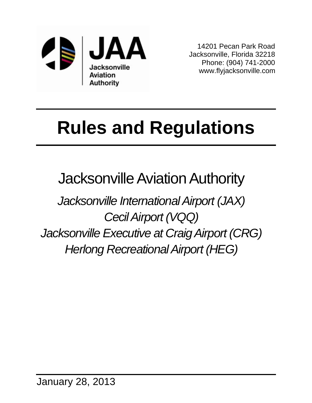

14201 Pecan Park Road Jacksonville, Florida 32218 Phone: (904) 741-2000 www.flyjacksonville.com

# **Rules and Regulations**

Jacksonville Aviation Authority

*Jacksonville International Airport (JAX) Cecil Airport (VQQ) Jacksonville Executive at Craig Airport (CRG) Herlong Recreational Airport (HEG)*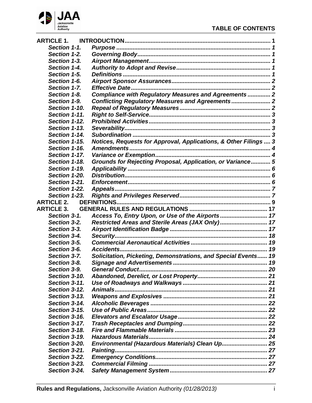

| <b>ARTICLE 1.</b> |                                                                  |  |
|-------------------|------------------------------------------------------------------|--|
| Section 1-1.      | Purpose.                                                         |  |
| Section 1-2.      |                                                                  |  |
| Section 1-3.      |                                                                  |  |
| Section 1-4.      |                                                                  |  |
| Section 1-5.      |                                                                  |  |
| Section 1-6.      |                                                                  |  |
| Section 1-7.      | <b>Effective Date</b>                                            |  |
| Section 1-8.      | <b>Compliance with Regulatory Measures and Agreements  2</b>     |  |
| Section 1-9.      | <b>Conflicting Regulatory Measures and Agreements 2</b>          |  |
| Section 1-10.     |                                                                  |  |
| Section 1-11.     |                                                                  |  |
| Section 1-12.     |                                                                  |  |
| Section 1-13.     |                                                                  |  |
| Section 1-14.     |                                                                  |  |
| Section 1-15.     | Notices, Requests for Approval, Applications, & Other Filings  3 |  |
| Section 1-16.     |                                                                  |  |
| Section 1-17.     |                                                                  |  |
| Section 1-18.     | Grounds for Rejecting Proposal, Application, or Variance 5       |  |
| Section 1-19.     |                                                                  |  |
| Section 1-20.     |                                                                  |  |
| Section 1-21.     |                                                                  |  |
| Section 1-22.     |                                                                  |  |
| Section 1-23.     |                                                                  |  |
| <b>ARTICLE 2.</b> | <b>DEFINITIONS.</b>                                              |  |
| <b>ARTICLE 3.</b> |                                                                  |  |
| Section 3-1.      | Access To, Entry Upon, or Use of the Airports 17                 |  |
| Section 3-2.      | Restricted Areas and Sterile Areas (JAX Only) 17                 |  |
| Section 3-3.      |                                                                  |  |
| Section 3-4.      |                                                                  |  |
| Section 3-5.      |                                                                  |  |
| Section 3-6.      | Accidents                                                        |  |
| Section 3-7.      | Solicitation, Picketing, Demonstrations, and Special Events 19   |  |
| Section 3-8.      |                                                                  |  |
| Section 3-9.      | <b>General Conduct</b>                                           |  |
| Section 3-10.     |                                                                  |  |
| Section 3-11.     |                                                                  |  |
| Section 3-12.     |                                                                  |  |
| Section 3-13.     |                                                                  |  |
| Section 3-14.     |                                                                  |  |
| Section 3-15.     |                                                                  |  |
| Section 3-16.     |                                                                  |  |
| Section 3-17.     |                                                                  |  |
| Section 3-18.     |                                                                  |  |
| Section 3-19.     |                                                                  |  |
| Section 3-20.     | Environmental (Hazardous Materials) Clean Up 25                  |  |
| Section 3-21.     | Painting                                                         |  |
| Section 3-22.     |                                                                  |  |
| Section 3-23.     |                                                                  |  |
| Section 3-24.     |                                                                  |  |
|                   |                                                                  |  |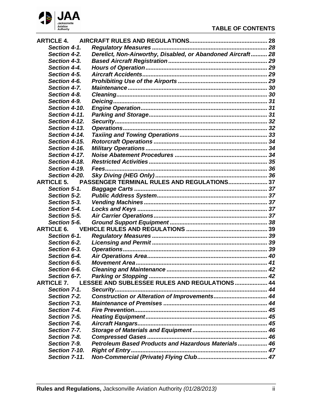

| <b>ARTICLE 4.</b> |                                                             | 28 |
|-------------------|-------------------------------------------------------------|----|
| Section 4-1.      |                                                             |    |
| Section 4-2.      | Derelict, Non-Airworthy, Disabled, or Abandoned Aircraft 28 |    |
| Section 4-3.      |                                                             |    |
| Section 4-4.      |                                                             |    |
| Section 4-5.      |                                                             |    |
| Section 4-6.      |                                                             |    |
| Section 4-7.      |                                                             |    |
| Section 4-8.      |                                                             |    |
| Section 4-9.      |                                                             |    |
| Section 4-10.     |                                                             |    |
| Section 4-11.     |                                                             |    |
| Section 4-12.     |                                                             |    |
| Section 4-13.     |                                                             |    |
| Section 4-14.     |                                                             |    |
| Section 4-15.     |                                                             |    |
| Section 4-16.     |                                                             |    |
| Section 4-17.     |                                                             |    |
| Section 4-18.     |                                                             |    |
| Section 4-19.     |                                                             |    |
| Section 4-20.     |                                                             |    |
| <b>ARTICLE 5.</b> |                                                             |    |
| Section 5-1.      |                                                             |    |
| Section 5-2.      |                                                             |    |
| Section 5-3.      |                                                             |    |
| Section 5-4.      |                                                             |    |
| Section 5-5.      |                                                             |    |
| Section 5-6.      |                                                             |    |
| <b>ARTICLE 6.</b> |                                                             |    |
| Section 6-1.      |                                                             |    |
| Section 6-2.      |                                                             |    |
| Section 6-3.      |                                                             |    |
| Section 6-4.      |                                                             |    |
| Section 6-5.      |                                                             |    |
| Section 6-6.      |                                                             |    |
| Section 6-7.      | <b>Parking or Stopping</b>                                  |    |
| <b>ARTICLE 7.</b> | LESSEE AND SUBLESSEE RULES AND REGULATIONS 44               |    |
| Section 7-1.      |                                                             |    |
| Section 7-2.      | Construction or Alteration of Improvements 44               |    |
| Section 7-3.      |                                                             |    |
| Section 7-4.      |                                                             |    |
| Section 7-5.      |                                                             |    |
| Section 7-6.      |                                                             |    |
| Section 7-7.      |                                                             |    |
| Section 7-8.      |                                                             |    |
| Section 7-9.      | Petroleum Based Products and Hazardous Materials 46         |    |
| Section 7-10.     |                                                             |    |
| Section 7-11.     |                                                             |    |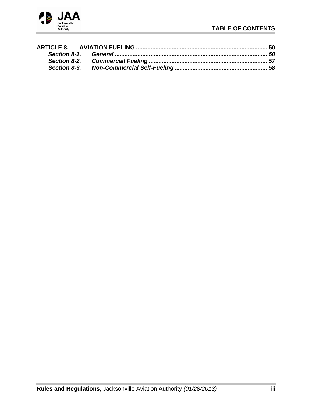

| Section 8-3. |  |
|--------------|--|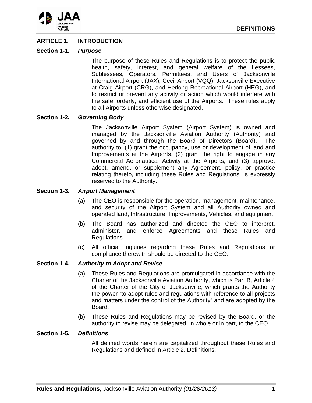

# **ARTICLE 1. INTRODUCTION**

#### **Section 1-1.** *Purpose*

The purpose of these Rules and Regulations is to protect the public health, safety, interest, and general welfare of the Lessees, Sublessees, Operators, Permittees, and Users of Jacksonville International Airport (JAX), Cecil Airport (VQQ), Jacksonville Executive at Craig Airport (CRG), and Herlong Recreational Airport (HEG), and to restrict or prevent any activity or action which would interfere with the safe, orderly, and efficient use of the Airports. These rules apply to all Airports unless otherwise designated.

#### **Section 1-2.** *Governing Body*

The Jacksonville Airport System (Airport System) is owned and managed by the Jacksonville Aviation Authority (Authority) and governed by and through the Board of Directors (Board). The authority to: (1) grant the occupancy, use or development of land and Improvements at the Airports, (2) grant the right to engage in any Commercial Aeronautical Activity at the Airports, and (3) approve, adopt, amend, or supplement any Agreement, policy, or practice relating thereto, including these Rules and Regulations, is expressly reserved to the Authority.

#### **Section 1-3.** *Airport Management*

- (a) The CEO is responsible for the operation, management, maintenance, and security of the Airport System and all Authority owned and operated land, Infrastructure, Improvements, Vehicles, and equipment.
- (b) The Board has authorized and directed the CEO to interpret, administer, and enforce Agreements and these Rules and Regulations.
- (c) All official inquiries regarding these Rules and Regulations or compliance therewith should be directed to the CEO.

#### **Section 1-4.** *Authority to Adopt and Revise*

- (a) These Rules and Regulations are promulgated in accordance with the Charter of the Jacksonville Aviation Authority, which is Part B, Article 4 of the Charter of the City of Jacksonville, which grants the Authority the power "to adopt rules and regulations with reference to all projects and matters under the control of the Authority" and are adopted by the Board.
- (b) These Rules and Regulations may be revised by the Board, or the authority to revise may be delegated, in whole or in part, to the CEO.

## **Section 1-5.** *Definitions*

All defined words herein are capitalized throughout these Rules and Regulations and defined in Article 2. Definitions.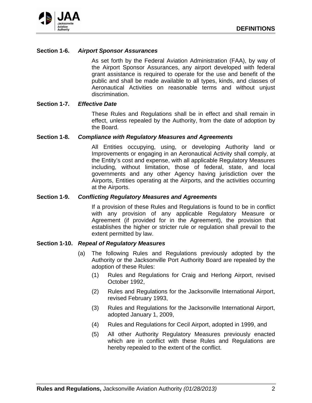

## **Section 1-6.** *Airport Sponsor Assurances*

As set forth by the Federal Aviation Administration (FAA), by way of the Airport Sponsor Assurances, any airport developed with federal grant assistance is required to operate for the use and benefit of the public and shall be made available to all types, kinds, and classes of Aeronautical Activities on reasonable terms and without unjust discrimination.

#### **Section 1-7.** *Effective Date*

These Rules and Regulations shall be in effect and shall remain in effect, unless repealed by the Authority, from the date of adoption by the Board.

#### **Section 1-8.** *Compliance with Regulatory Measures and Agreements*

All Entities occupying, using, or developing Authority land or Improvements or engaging in an Aeronautical Activity shall comply, at the Entity's cost and expense, with all applicable Regulatory Measures including, without limitation, those of federal, state, and local governments and any other Agency having jurisdiction over the Airports, Entities operating at the Airports, and the activities occurring at the Airports.

#### **Section 1-9.** *Conflicting Regulatory Measures and Agreements*

If a provision of these Rules and Regulations is found to be in conflict with any provision of any applicable Regulatory Measure or Agreement (if provided for in the Agreement), the provision that establishes the higher or stricter rule or regulation shall prevail to the extent permitted by law.

#### **Section 1-10.** *Repeal of Regulatory Measures*

- (a) The following Rules and Regulations previously adopted by the Authority or the Jacksonville Port Authority Board are repealed by the adoption of these Rules:
	- (1) Rules and Regulations for Craig and Herlong Airport, revised October 1992,
	- (2) Rules and Regulations for the Jacksonville International Airport, revised February 1993,
	- (3) Rules and Regulations for the Jacksonville International Airport, adopted January 1, 2009,
	- (4) Rules and Regulations for Cecil Airport, adopted in 1999, and
	- (5) All other Authority Regulatory Measures previously enacted which are in conflict with these Rules and Regulations are hereby repealed to the extent of the conflict.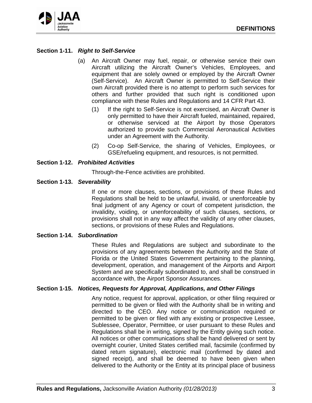



## **Section 1-11.** *Right to Self-Service*

- (a) An Aircraft Owner may fuel, repair, or otherwise service their own Aircraft utilizing the Aircraft Owner's Vehicles, Employees, and equipment that are solely owned or employed by the Aircraft Owner (Self-Service). An Aircraft Owner is permitted to Self-Service their own Aircraft provided there is no attempt to perform such services for others and further provided that such right is conditioned upon compliance with these Rules and Regulations and 14 CFR Part 43.
	- (1) If the right to Self-Service is not exercised, an Aircraft Owner is only permitted to have their Aircraft fueled, maintained, repaired, or otherwise serviced at the Airport by those Operators authorized to provide such Commercial Aeronautical Activities under an Agreement with the Authority.
	- (2) Co-op Self-Service, the sharing of Vehicles, Employees, or GSE/refueling equipment, and resources, is not permitted.

## **Section 1-12.** *Prohibited Activities*

Through-the-Fence activities are prohibited.

# **Section 1-13.** *Severability*

If one or more clauses, sections, or provisions of these Rules and Regulations shall be held to be unlawful, invalid, or unenforceable by final judgment of any Agency or court of competent jurisdiction, the invalidity, voiding, or unenforceability of such clauses, sections, or provisions shall not in any way affect the validity of any other clauses, sections, or provisions of these Rules and Regulations.

#### **Section 1-14.** *Subordination*

These Rules and Regulations are subject and subordinate to the provisions of any agreements between the Authority and the State of Florida or the United States Government pertaining to the planning, development, operation, and management of the Airports and Airport System and are specifically subordinated to, and shall be construed in accordance with, the Airport Sponsor Assurances.

#### **Section 1-15.** *Notices, Requests for Approval, Applications, and Other Filings*

Any notice, request for approval, application, or other filing required or permitted to be given or filed with the Authority shall be in writing and directed to the CEO. Any notice or communication required or permitted to be given or filed with any existing or prospective Lessee, Sublessee, Operator, Permittee, or user pursuant to these Rules and Regulations shall be in writing, signed by the Entity giving such notice. All notices or other communications shall be hand delivered or sent by overnight courier, United States certified mail, facsimile (confirmed by dated return signature), electronic mail (confirmed by dated and signed receipt), and shall be deemed to have been given when delivered to the Authority or the Entity at its principal place of business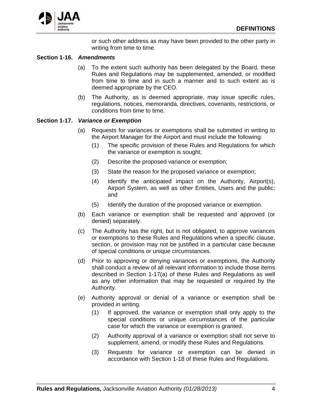

or such other address as may have been provided to the other party in writing from time to time.

## **Section 1-16.** *Amendments*

- (a) To the extent such authority has been delegated by the Board, these Rules and Regulations may be supplemented, amended, or modified from time to time and in such a manner and to such extent as is deemed appropriate by the CEO.
- (b) The Authority, as is deemed appropriate, may issue specific rules, regulations, notices, memoranda, directives, covenants, restrictions, or conditions from time to time.

#### **Section 1-17.** *Variance or Exemption*

- (a) Requests for variances or exemptions shall be submitted in writing to the Airport Manager for the Airport and must include the following:
	- (1) The specific provision of these Rules and Regulations for which the variance or exemption is sought;
	- (2) Describe the proposed variance or exemption;
	- (3) State the reason for the proposed variance or exemption;
	- (4) Identify the anticipated impact on the Authority, Airport(s), Airport System, as well as other Entities, Users and the public; and
	- (5) Identify the duration of the proposed variance or exemption.
- (b) Each variance or exemption shall be requested and approved (or denied) separately.
- (c) The Authority has the right, but is not obligated, to approve variances or exemptions to these Rules and Regulations when a specific clause, section, or provision may not be justified in a particular case because of special conditions or unique circumstances.
- (d) Prior to approving or denying variances or exemptions, the Authority shall conduct a review of all relevant information to include those items described in Section 1-17(a) of these Rules and Regulations as well as any other information that may be requested or required by the Authority.
- (e) Authority approval or denial of a variance or exemption shall be provided in writing.
	- (1) If approved, the variance or exemption shall only apply to the special conditions or unique circumstances of the particular case for which the variance or exemption is granted.
	- (2) Authority approval of a variance or exemption shall not serve to supplement, amend, or modify these Rules and Regulations.
	- (3) Requests for variance or exemption can be denied in accordance with Section 1-18 of these Rules and Regulations.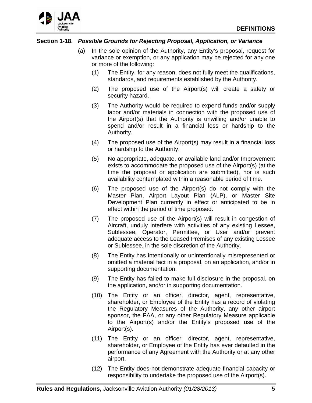

# **Section 1-18.** *Possible Grounds for Rejecting Proposal, Application, or Variance*

- (a) In the sole opinion of the Authority, any Entity's proposal, request for variance or exemption, or any application may be rejected for any one or more of the following:
	- (1) The Entity, for any reason, does not fully meet the qualifications, standards, and requirements established by the Authority.
	- (2) The proposed use of the Airport(s) will create a safety or security hazard.
	- (3) The Authority would be required to expend funds and/or supply labor and/or materials in connection with the proposed use of the Airport(s) that the Authority is unwilling and/or unable to spend and/or result in a financial loss or hardship to the Authority.
	- (4) The proposed use of the Airport(s) may result in a financial loss or hardship to the Authority.
	- (5) No appropriate, adequate, or available land and/or Improvement exists to accommodate the proposed use of the Airport(s) (at the time the proposal or application are submitted), nor is such availability contemplated within a reasonable period of time.
	- (6) The proposed use of the Airport(s) do not comply with the Master Plan, Airport Layout Plan (ALP), or Master Site Development Plan currently in effect or anticipated to be in effect within the period of time proposed.
	- (7) The proposed use of the Airport(s) will result in congestion of Aircraft, unduly interfere with activities of any existing Lessee, Sublessee, Operator, Permittee, or User and/or prevent adequate access to the Leased Premises of any existing Lessee or Sublessee, in the sole discretion of the Authority.
	- (8) The Entity has intentionally or unintentionally misrepresented or omitted a material fact in a proposal, on an application, and/or in supporting documentation.
	- (9) The Entity has failed to make full disclosure in the proposal, on the application, and/or in supporting documentation.
	- (10) The Entity or an officer, director, agent, representative, shareholder, or Employee of the Entity has a record of violating the Regulatory Measures of the Authority, any other airport sponsor, the FAA, or any other Regulatory Measure applicable to the Airport(s) and/or the Entity's proposed use of the Airport(s).
	- (11) The Entity or an officer, director, agent, representative, shareholder, or Employee of the Entity has ever defaulted in the performance of any Agreement with the Authority or at any other airport.
	- (12) The Entity does not demonstrate adequate financial capacity or responsibility to undertake the proposed use of the Airport(s).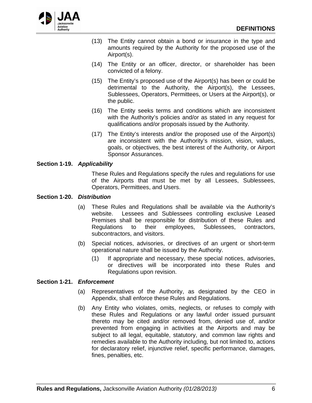

- (13) The Entity cannot obtain a bond or insurance in the type and amounts required by the Authority for the proposed use of the Airport(s).
- (14) The Entity or an officer, director, or shareholder has been convicted of a felony.
- (15) The Entity's proposed use of the Airport(s) has been or could be detrimental to the Authority, the Airport(s), the Lessees, Sublessees, Operators, Permittees, or Users at the Airport(s), or the public.
- (16) The Entity seeks terms and conditions which are inconsistent with the Authority's policies and/or as stated in any request for qualifications and/or proposals issued by the Authority.
- (17) The Entity's interests and/or the proposed use of the Airport(s) are inconsistent with the Authority's mission, vision, values, goals, or objectives, the best interest of the Authority, or Airport Sponsor Assurances.

## **Section 1-19.** *Applicability*

These Rules and Regulations specify the rules and regulations for use of the Airports that must be met by all Lessees, Sublessees, Operators, Permittees, and Users.

#### **Section 1-20.** *Distribution*

- (a) These Rules and Regulations shall be available via the Authority's website. Lessees and Sublessees controlling exclusive Leased Premises shall be responsible for distribution of these Rules and Regulations to their employees, Sublessees, contractors, subcontractors, and visitors.
- (b) Special notices, advisories, or directives of an urgent or short-term operational nature shall be issued by the Authority.
	- (1) If appropriate and necessary, these special notices, advisories, or directives will be incorporated into these Rules and Regulations upon revision.

#### **Section 1-21.** *Enforcement*

- (a) Representatives of the Authority, as designated by the CEO in Appendix, shall enforce these Rules and Regulations.
- (b) Any Entity who violates, omits, neglects, or refuses to comply with these Rules and Regulations or any lawful order issued pursuant thereto may be cited and/or removed from, denied use of, and/or prevented from engaging in activities at the Airports and may be subject to all legal, equitable, statutory, and common law rights and remedies available to the Authority including, but not limited to, actions for declaratory relief, injunctive relief, specific performance, damages, fines, penalties, etc.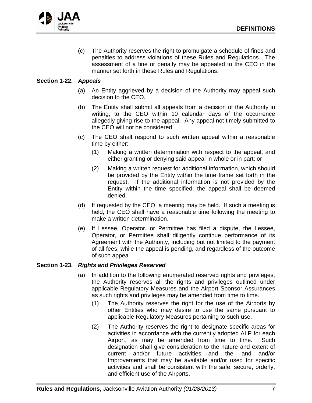

(c) The Authority reserves the right to promulgate a schedule of fines and penalties to address violations of these Rules and Regulations. The assessment of a fine or penalty may be appealed to the CEO in the manner set forth in these Rules and Regulations.

# **Section 1-22.** *Appeals*

- (a) An Entity aggrieved by a decision of the Authority may appeal such decision to the CEO.
- (b) The Entity shall submit all appeals from a decision of the Authority in writing, to the CEO within 10 calendar days of the occurrence allegedly giving rise to the appeal. Any appeal not timely submitted to the CEO will not be considered.
- (c) The CEO shall respond to such written appeal within a reasonable time by either:
	- (1) Making a written determination with respect to the appeal, and either granting or denying said appeal in whole or in part; or
	- (2) Making a written request for additional information, which should be provided by the Entity within the time frame set forth in the request. If the additional information is not provided by the Entity within the time specified, the appeal shall be deemed denied.
- (d) If requested by the CEO, a meeting may be held. If such a meeting is held, the CEO shall have a reasonable time following the meeting to make a written determination.
- (e) If Lessee, Operator, or Permittee has filed a dispute, the Lessee, Operator, or Permittee shall diligently continue performance of its Agreement with the Authority, including but not limited to the payment of all fees, while the appeal is pending, and regardless of the outcome of such appeal

## **Section 1-23.** *Rights and Privileges Reserved*

- (a) In addition to the following enumerated reserved rights and privileges, the Authority reserves all the rights and privileges outlined under applicable Regulatory Measures and the Airport Sponsor Assurances as such rights and privileges may be amended from time to time.
	- (1) The Authority reserves the right for the use of the Airports by other Entities who may desire to use the same pursuant to applicable Regulatory Measures pertaining to such use.
	- (2) The Authority reserves the right to designate specific areas for activities in accordance with the currently adopted ALP for each Airport, as may be amended from time to time. Such designation shall give consideration to the nature and extent of current and/or future activities and the land and/or Improvements that may be available and/or used for specific activities and shall be consistent with the safe, secure, orderly, and efficient use of the Airports.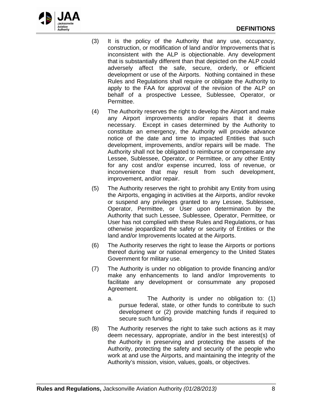

- (3) It is the policy of the Authority that any use, occupancy, construction, or modification of land and/or Improvements that is inconsistent with the ALP is objectionable. Any development that is substantially different than that depicted on the ALP could adversely affect the safe, secure, orderly, or efficient development or use of the Airports. Nothing contained in these Rules and Regulations shall require or obligate the Authority to apply to the FAA for approval of the revision of the ALP on behalf of a prospective Lessee, Sublessee, Operator, or Permittee.
- (4) The Authority reserves the right to develop the Airport and make any Airport improvements and/or repairs that it deems necessary. Except in cases determined by the Authority to constitute an emergency, the Authority will provide advance notice of the date and time to impacted Entities that such development, improvements, and/or repairs will be made. The Authority shall not be obligated to reimburse or compensate any Lessee, Sublessee, Operator, or Permittee, or any other Entity for any cost and/or expense incurred, loss of revenue, or inconvenience that may result from such development, improvement, and/or repair.
- (5) The Authority reserves the right to prohibit any Entity from using the Airports, engaging in activities at the Airports, and/or revoke or suspend any privileges granted to any Lessee, Sublessee, Operator, Permittee, or User upon determination by the Authority that such Lessee, Sublessee, Operator, Permittee, or User has not complied with these Rules and Regulations, or has otherwise jeopardized the safety or security of Entities or the land and/or Improvements located at the Airports.
- (6) The Authority reserves the right to lease the Airports or portions thereof during war or national emergency to the United States Government for military use.
- (7) The Authority is under no obligation to provide financing and/or make any enhancements to land and/or Improvements to facilitate any development or consummate any proposed Agreement.
	- a. The Authority is under no obligation to: (1) pursue federal, state, or other funds to contribute to such development or (2) provide matching funds if required to secure such funding.
- (8) The Authority reserves the right to take such actions as it may deem necessary, appropriate, and/or in the best interest(s) of the Authority in preserving and protecting the assets of the Authority, protecting the safety and security of the people who work at and use the Airports, and maintaining the integrity of the Authority's mission, vision, values, goals, or objectives.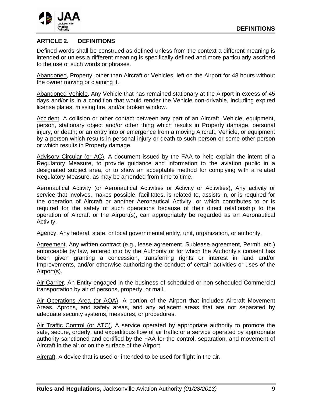

# **ARTICLE 2. DEFINITIONS**

Defined words shall be construed as defined unless from the context a different meaning is intended or unless a different meaning is specifically defined and more particularly ascribed to the use of such words or phrases.

Abandoned, Property, other than Aircraft or Vehicles, left on the Airport for 48 hours without the owner moving or claiming it.

Abandoned Vehicle, Any Vehicle that has remained stationary at the Airport in excess of 45 days and/or is in a condition that would render the Vehicle non-drivable, including expired license plates, missing tire, and/or broken window.

Accident, A collision or other contact between any part of an Aircraft, Vehicle, equipment, person, stationary object and/or other thing which results in Property damage, personal injury, or death; or an entry into or emergence from a moving Aircraft, Vehicle, or equipment by a person which results in personal injury or death to such person or some other person or which results in Property damage.

Advisory Circular (or AC), A document issued by the FAA to help explain the intent of a Regulatory Measure, to provide guidance and information to the aviation public in a designated subject area, or to show an acceptable method for complying with a related Regulatory Measure, as may be amended from time to time.

Aeronautical Activity (or Aeronautical Activities or Activity or Activities), Any activity or service that involves, makes possible, facilitates, is related to, assists in, or is required for the operation of Aircraft or another Aeronautical Activity, or which contributes to or is required for the safety of such operations because of their direct relationship to the operation of Aircraft or the Airport(s), can appropriately be regarded as an Aeronautical Activity.

Agency, Any federal, state, or local governmental entity, unit, organization, or authority.

Agreement, Any written contract (e.g., lease agreement, Sublease agreement, Permit, etc.) enforceable by law, entered into by the Authority or for which the Authority's consent has been given granting a concession, transferring rights or interest in land and/or Improvements, and/or otherwise authorizing the conduct of certain activities or uses of the Airport(s).

Air Carrier, An Entity engaged in the business of scheduled or non-scheduled Commercial transportation by air of persons, property, or mail.

Air Operations Area (or AOA), A portion of the Airport that includes Aircraft Movement Areas, Aprons, and safety areas, and any adjacent areas that are not separated by adequate security systems, measures, or procedures.

Air Traffic Control (or ATC), A service operated by appropriate authority to promote the safe, secure, orderly, and expeditious flow of air traffic or a service operated by appropriate authority sanctioned and certified by the FAA for the control, separation, and movement of Aircraft in the air or on the surface of the Airport.

Aircraft, A device that is used or intended to be used for flight in the air.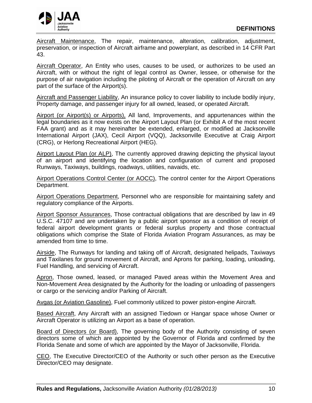

Aircraft Maintenance, The repair, maintenance, alteration, calibration, adjustment, preservation, or inspection of Aircraft airframe and powerplant, as described in 14 CFR Part 43.

Aircraft Operator, An Entity who uses, causes to be used, or authorizes to be used an Aircraft, with or without the right of legal control as Owner, lessee, or otherwise for the purpose of air navigation including the piloting of Aircraft or the operation of Aircraft on any part of the surface of the Airport(s).

Aircraft and Passenger Liability, An insurance policy to cover liability to include bodily injury, Property damage, and passenger injury for all owned, leased, or operated Aircraft.

Airport (or Airport(s) or Airports), All land, Improvements, and appurtenances within the legal boundaries as it now exists on the Airport Layout Plan (or Exhibit A of the most recent FAA grant) and as it may hereinafter be extended, enlarged, or modified at Jacksonville International Airport (JAX), Cecil Airport (VQQ), Jacksonville Executive at Craig Airport (CRG), or Herlong Recreational Airport (HEG).

Airport Layout Plan (or ALP), The currently approved drawing depicting the physical layout of an airport and identifying the location and configuration of current and proposed Runways, Taxiways, buildings, roadways, utilities, navaids, etc.

Airport Operations Control Center (or AOCC), The control center for the Airport Operations Department.

Airport Operations Department, Personnel who are responsible for maintaining safety and regulatory compliance of the Airports.

Airport Sponsor Assurances, Those contractual obligations that are described by law in 49 U.S.C. 47107 and are undertaken by a public airport sponsor as a condition of receipt of federal airport development grants or federal surplus property and those contractual obligations which comprise the State of Florida Aviation Program Assurances, as may be amended from time to time.

Airside, The Runways for landing and taking off of Aircraft, designated helipads, Taxiways and Taxilanes for ground movement of Aircraft, and Aprons for parking, loading, unloading, Fuel Handling, and servicing of Aircraft.

Apron, Those owned, leased, or managed Paved areas within the Movement Area and Non-Movement Area designated by the Authority for the loading or unloading of passengers or cargo or the servicing and/or Parking of Aircraft.

Avgas (or Aviation Gasoline), Fuel commonly utilized to power piston-engine Aircraft.

Based Aircraft, Any Aircraft with an assigned Tiedown or Hangar space whose Owner or Aircraft Operator is utilizing an Airport as a base of operation.

Board of Directors (or Board), The governing body of the Authority consisting of seven directors some of which are appointed by the Governor of Florida and confirmed by the Florida Senate and some of which are appointed by the Mayor of Jacksonville, Florida.

CEO, The Executive Director/CEO of the Authority or such other person as the Executive Director/CEO may designate.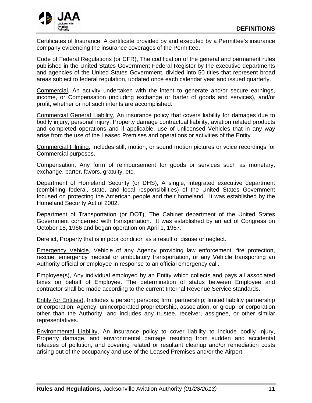

Certificates of Insurance, A certificate provided by and executed by a Permittee's insurance company evidencing the insurance coverages of the Permittee.

Code of Federal Regulations (or CFR), The codification of the general and permanent rules published in the United States Government Federal Register by the executive departments and agencies of the United States Government, divided into 50 titles that represent broad areas subject to federal regulation, updated once each calendar year and issued quarterly.

Commercial, An activity undertaken with the intent to generate and/or secure earnings, income, or Compensation (including exchange or barter of goods and services), and/or profit, whether or not such intents are accomplished.

Commercial General Liability, An insurance policy that covers liability for damages due to bodily injury, personal injury, Property damage contractual liability, aviation related products and completed operations and if applicable, use of unlicensed Vehicles that in any way arise from the use of the Leased Premises and operations or activities of the Entity.

Commercial Filming, Includes still, motion, or sound motion pictures or voice recordings for Commercial purposes.

Compensation, Any form of reimbursement for goods or services such as monetary, exchange, barter, favors, gratuity, etc.

Department of Homeland Security (or DHS), A single, integrated executive department (combining federal, state, and local responsibilities) of the United States Government focused on protecting the American people and their homeland. It was established by the Homeland Security Act of 2002.

Department of Transportation (or DOT), The Cabinet department of the United States Government concerned with transportation. It was established by an act of Congress on October 15, 1966 and began operation on April 1, 1967.

Derelict, Property that is in poor condition as a result of disuse or neglect.

Emergency Vehicle, Vehicle of any Agency providing law enforcement, fire protection, rescue, emergency medical or ambulatory transportation, or any Vehicle transporting an Authority official or employee in response to an official emergency call.

Employee(s), Any individual employed by an Entity which collects and pays all associated taxes on behalf of Employee. The determination of status between Employee and contractor shall be made according to the current Internal Revenue Service standards.

Entity (or Entities), Includes a person; persons; firm; partnership; limited liability partnership or corporation; Agency; unincorporated proprietorship, association, or group; or corporation other than the Authority, and includes any trustee, receiver, assignee, or other similar representatives.

Environmental Liability, An insurance policy to cover liability to include bodily injury, Property damage, and environmental damage resulting from sudden and accidental releases of pollution, and covering related or resultant cleanup and/or remediation costs arising out of the occupancy and use of the Leased Premises and/or the Airport.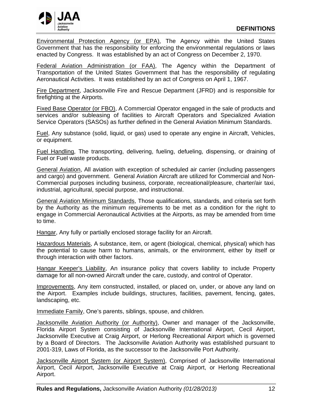

Environmental Protection Agency (or EPA), The Agency within the United States Government that has the responsibility for enforcing the environmental regulations or laws enacted by Congress. It was established by an act of Congress on December 2, 1970.

Federal Aviation Administration (or FAA), The Agency within the Department of Transportation of the United States Government that has the responsibility of regulating Aeronautical Activities. It was established by an act of Congress on April 1, 1967.

Fire Department, Jacksonville Fire and Rescue Department (JFRD) and is responsible for firefighting at the Airports.

Fixed Base Operator (or FBO), A Commercial Operator engaged in the sale of products and services and/or subleasing of facilities to Aircraft Operators and Specialized Aviation Service Operators (SASOs) as further defined in the General Aviation Minimum Standards.

Fuel, Any substance (solid, liquid, or gas) used to operate any engine in Aircraft, Vehicles, or equipment.

Fuel Handling, The transporting, delivering, fueling, defueling, dispensing, or draining of Fuel or Fuel waste products.

General Aviation, All aviation with exception of scheduled air carrier (including passengers and cargo) and government. General Aviation Aircraft are utilized for Commercial and Non-Commercial purposes including business, corporate, recreational/pleasure, charter/air taxi, industrial, agricultural, special purpose, and instructional.

General Aviation Minimum Standards, Those qualifications, standards, and criteria set forth by the Authority as the minimum requirements to be met as a condition for the right to engage in Commercial Aeronautical Activities at the Airports, as may be amended from time to time.

Hangar, Any fully or partially enclosed storage facility for an Aircraft.

Hazardous Materials, A substance, item, or agent (biological, chemical, physical) which has the potential to cause harm to humans, animals, or the environment, either by itself or through interaction with other factors.

Hangar Keeper's Liability, An insurance policy that covers liability to include Property damage for all non-owned Aircraft under the care, custody, and control of Operator.

Improvements, Any item constructed, installed, or placed on, under, or above any land on the Airport. Examples include buildings, structures, facilities, pavement, fencing, gates, landscaping, etc.

Immediate Family, One's parents, siblings, spouse, and children.

Jacksonville Aviation Authority (or Authority), Owner and manager of the Jacksonville, Florida Airport System consisting of Jacksonville International Airport, Cecil Airport, Jacksonville Executive at Craig Airport, or Herlong Recreational Airport which is governed by a Board of Directors. The Jacksonville Aviation Authority was established pursuant to 2001-319, Laws of Florida, as the successor to the Jacksonville Port Authority.

Jacksonville Airport System (or Airport System), Comprised of Jacksonville International Airport, Cecil Airport, Jacksonville Executive at Craig Airport, or Herlong Recreational Airport.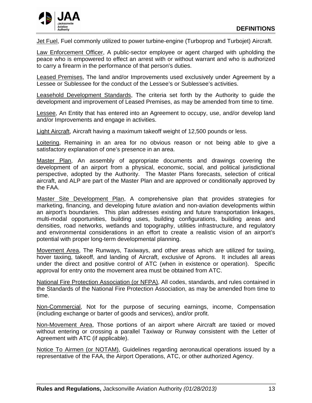

Jet Fuel, Fuel commonly utilized to power turbine-engine (Turboprop and Turbojet) Aircraft.

Law Enforcement Officer, A public-sector employee or agent charged with upholding the peace who is empowered to effect an arrest with or without warrant and who is authorized to carry a firearm in the performance of that person's duties.

Leased Premises, The land and/or Improvements used exclusively under Agreement by a Lessee or Sublessee for the conduct of the Lessee's or Sublessee's activities.

Leasehold Development Standards, The criteria set forth by the Authority to guide the development and improvement of Leased Premises, as may be amended from time to time.

Lessee, An Entity that has entered into an Agreement to occupy, use, and/or develop land and/or Improvements and engage in activities.

Light Aircraft, Aircraft having a maximum takeoff weight of 12,500 pounds or less.

Loitering, Remaining in an area for no obvious reason or not being able to give a satisfactory explanation of one's presence in an area.

Master Plan, An assembly of appropriate documents and drawings covering the development of an airport from a physical, economic, social, and political jurisdictional perspective, adopted by the Authority. The Master Plans forecasts, selection of critical aircraft, and ALP are part of the Master Plan and are approved or conditionally approved by the FAA.

Master Site Development Plan, A comprehensive plan that provides strategies for marketing, financing, and developing future aviation and non-aviation developments within an airport's boundaries. This plan addresses existing and future transportation linkages, multi-modal opportunities, building uses, building configurations, building areas and densities, road networks, wetlands and topography, utilities infrastructure, and regulatory and environmental considerations in an effort to create a realistic vision of an airport's potential with proper long-term developmental planning.

Movement Area, The Runways, Taxiways, and other areas which are utilized for taxiing, hover taxiing, takeoff, and landing of Aircraft, exclusive of Aprons. It includes all areas under the direct and positive control of ATC (when in existence or operation). Specific approval for entry onto the movement area must be obtained from ATC.

National Fire Protection Association (or NFPA), All codes, standards, and rules contained in the Standards of the National Fire Protection Association, as may be amended from time to time.

Non-Commercial, Not for the purpose of securing earnings, income, Compensation (including exchange or barter of goods and services), and/or profit.

Non-Movement Area, Those portions of an airport where Aircraft are taxied or moved without entering or crossing a parallel Taxiway or Runway consistent with the Letter of Agreement with ATC (if applicable).

Notice To Airmen (or NOTAM), Guidelines regarding aeronautical operations issued by a representative of the FAA, the Airport Operations, ATC, or other authorized Agency.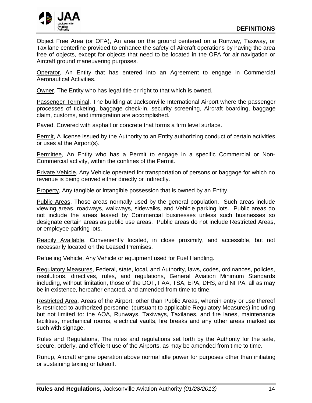

Object Free Area (or OFA), An area on the ground centered on a Runway, Taxiway, or Taxilane centerline provided to enhance the safety of Aircraft operations by having the area free of objects, except for objects that need to be located in the OFA for air navigation or Aircraft ground maneuvering purposes.

Operator, An Entity that has entered into an Agreement to engage in Commercial Aeronautical Activities.

Owner, The Entity who has legal title or right to that which is owned.

Passenger Terminal, The building at Jacksonville International Airport where the passenger processes of ticketing, baggage check-in, security screening, Aircraft boarding, baggage claim, customs, and immigration are accomplished.

Paved, Covered with asphalt or concrete that forms a firm level surface.

Permit, A license issued by the Authority to an Entity authorizing conduct of certain activities or uses at the Airport(s).

Permittee, An Entity who has a Permit to engage in a specific Commercial or Non-Commercial activity, within the confines of the Permit.

Private Vehicle, Any Vehicle operated for transportation of persons or baggage for which no revenue is being derived either directly or indirectly.

Property, Any tangible or intangible possession that is owned by an Entity.

Public Areas, Those areas normally used by the general population. Such areas include viewing areas, roadways, walkways, sidewalks, and Vehicle parking lots. Public areas do not include the areas leased by Commercial businesses unless such businesses so designate certain areas as public use areas. Public areas do not include Restricted Areas, or employee parking lots.

Readily Available, Conveniently located, in close proximity, and accessible, but not necessarily located on the Leased Premises.

Refueling Vehicle, Any Vehicle or equipment used for Fuel Handling.

Regulatory Measures, Federal, state, local, and Authority, laws, codes, ordinances, policies, resolutions, directives, rules, and regulations, General Aviation Minimum Standards including, without limitation, those of the DOT, FAA, TSA, EPA, DHS, and NFPA; all as may be in existence, hereafter enacted, and amended from time to time.

Restricted Area, Areas of the Airport, other than Public Areas, wherein entry or use thereof is restricted to authorized personnel (pursuant to applicable Regulatory Measures) including but not limited to: the AOA, Runways, Taxiways, Taxilanes, and fire lanes, maintenance facilities, mechanical rooms, electrical vaults, fire breaks and any other areas marked as such with signage.

Rules and Regulations, The rules and regulations set forth by the Authority for the safe, secure, orderly, and efficient use of the Airports, as may be amended from time to time.

Runup, Aircraft engine operation above normal idle power for purposes other than initiating or sustaining taxiing or takeoff.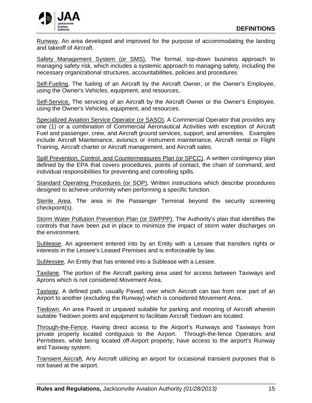

Runway, An area developed and improved for the purpose of accommodating the landing and takeoff of Aircraft.

Safety Management System (or SMS), The formal, top-down business approach to managing safety risk, which includes a systemic approach to managing safety, including the necessary organizational structures, accountabilities, policies and procedures

Self-Fueling, The fueling of an Aircraft by the Aircraft Owner, or the Owner's Employee, using the Owner's Vehicles, equipment, and resources.

Self-Service, The servicing of an Aircraft by the Aircraft Owner or the Owner's Employee, using the Owner's Vehicles, equipment, and resources.

Specialized Aviation Service Operator (or SASO), A Commercial Operator that provides any one (1) or a combination of Commercial Aeronautical Activities with exception of Aircraft Fuel and passenger, crew, and Aircraft ground services, support, and amenities. Examples include Aircraft Maintenance, avionics or instrument maintenance, Aircraft rental or Flight Training, Aircraft charter or Aircraft management, and Aircraft sales.

Spill Prevention, Control, and Countermeasures Plan (or SPCC), A written contingency plan defined by the EPA that covers procedures, points of contact, the chain of command, and individual responsibilities for preventing and controlling spills.

Standard Operating Procedures (or SOP), Written instructions which describe procedures designed to achieve uniformity when performing a specific function.

Sterile Area, The area in the Passenger Terminal beyond the security screening checkpoint(s).

Storm Water Pollution Prevention Plan (or SWPPP), The Authority's plan that identifies the controls that have been put in place to minimize the impact of storm water discharges on the environment.

Sublease, An agreement entered into by an Entity with a Lessee that transfers rights or interests in the Lessee's Leased Premises and is enforceable by law.

Sublessee, An Entity that has entered into a Sublease with a Lessee.

Taxilane, The portion of the Aircraft parking area used for access between Taxiways and Aprons which is not considered Movement Area.

Taxiway, A defined path, usually Paved, over which Aircraft can taxi from one part of an Airport to another (excluding the Runway) which is considered Movement Area.

Tiedown, An area Paved or unpaved suitable for parking and mooring of Aircraft wherein suitable Tiedown points and equipment to facilitate Aircraft Tiedown are located.

Through-the-Fence, Having direct access to the Airport's Runways and Taxiways from private property located contiguous to the Airport. Through-the-fence Operators and Permittees, while being located off-Airport property, have access to the airport's Runway and Taxiway system.

Transient Aircraft, Any Aircraft utilizing an airport for occasional transient purposes that is not based at the airport.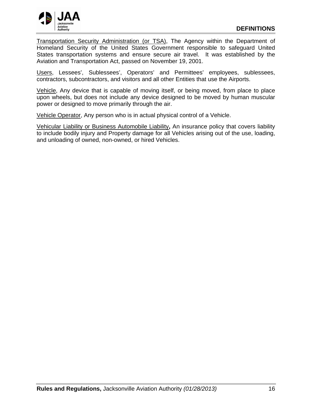

Transportation Security Administration (or TSA), The Agency within the Department of Homeland Security of the United States Government responsible to safeguard United States transportation systems and ensure secure air travel. It was established by the Aviation and Transportation Act, passed on November 19, 2001.

Users, Lessees', Sublessees', Operators' and Permittees' employees, sublessees, contractors, subcontractors, and visitors and all other Entities that use the Airports.

Vehicle, Any device that is capable of moving itself, or being moved, from place to place upon wheels, but does not include any device designed to be moved by human muscular power or designed to move primarily through the air.

Vehicle Operator, Any person who is in actual physical control of a Vehicle.

Vehicular Liability or Business Automobile Liability**,** An insurance policy that covers liability to include bodily injury and Property damage for all Vehicles arising out of the use, loading, and unloading of owned, non-owned, or hired Vehicles.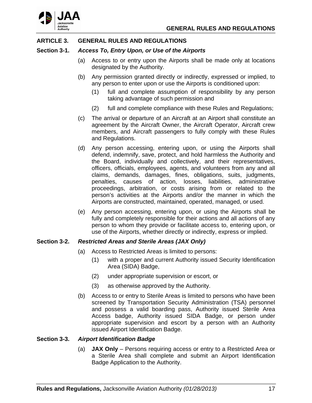

# **ARTICLE 3. GENERAL RULES AND REGULATIONS**

# **Section 3-1.** *Access To, Entry Upon, or Use of the Airports*

- (a) Access to or entry upon the Airports shall be made only at locations designated by the Authority.
- (b) Any permission granted directly or indirectly, expressed or implied, to any person to enter upon or use the Airports is conditioned upon:
	- (1) full and complete assumption of responsibility by any person taking advantage of such permission and
	- (2) full and complete compliance with these Rules and Regulations;
- (c) The arrival or departure of an Aircraft at an Airport shall constitute an agreement by the Aircraft Owner, the Aircraft Operator, Aircraft crew members, and Aircraft passengers to fully comply with these Rules and Regulations.
- (d) Any person accessing, entering upon, or using the Airports shall defend, indemnify, save, protect, and hold harmless the Authority and the Board, individually and collectively, and their representatives, officers, officials, employees, agents, and volunteers from any and all claims, demands, damages, fines, obligations, suits, judgments, penalties, causes of action, losses, liabilities, administrative proceedings, arbitration, or costs arising from or related to the person's activities at the Airports and/or the manner in which the Airports are constructed, maintained, operated, managed, or used.
- (e) Any person accessing, entering upon, or using the Airports shall be fully and completely responsible for their actions and all actions of any person to whom they provide or facilitate access to, entering upon, or use of the Airports, whether directly or indirectly, express or implied.

# **Section 3-2.** *Restricted Areas and Sterile Areas (JAX Only)*

- (a) Access to Restricted Areas is limited to persons:
	- (1) with a proper and current Authority issued Security Identification Area (SIDA) Badge,
	- (2) under appropriate supervision or escort, or
	- (3) as otherwise approved by the Authority.
- (b) Access to or entry to Sterile Areas is limited to persons who have been screened by Transportation Security Administration (TSA) personnel and possess a valid boarding pass, Authority issued Sterile Area Access badge, Authority issued SIDA Badge, or person under appropriate supervision and escort by a person with an Authority issued Airport Identification Badge.

## **Section 3-3.** *Airport Identification Badge*

(a) **JAX Only** – Persons requiring access or entry to a Restricted Area or a Sterile Area shall complete and submit an Airport Identification Badge Application to the Authority.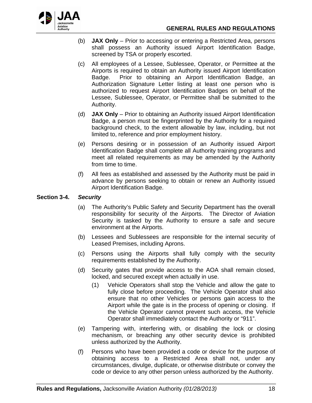

- (b) **JAX Only** Prior to accessing or entering a Restricted Area, persons shall possess an Authority issued Airport Identification Badge, screened by TSA or properly escorted.
- (c) All employees of a Lessee, Sublessee, Operator, or Permittee at the Airports is required to obtain an Authority issued Airport Identification Badge. Prior to obtaining an Airport Identification Badge, an Authorization Signature Letter listing at least one person who is authorized to request Airport Identification Badges on behalf of the Lessee, Sublessee, Operator, or Permittee shall be submitted to the Authority.
- (d) **JAX Only** Prior to obtaining an Authority issued Airport Identification Badge, a person must be fingerprinted by the Authority for a required background check, to the extent allowable by law, including, but not limited to, reference and prior employment history.
- (e) Persons desiring or in possession of an Authority issued Airport Identification Badge shall complete all Authority training programs and meet all related requirements as may be amended by the Authority from time to time.
- (f) All fees as established and assessed by the Authority must be paid in advance by persons seeking to obtain or renew an Authority issued Airport Identification Badge.

# **Section 3-4.** *Security*

- (a) The Authority's Public Safety and Security Department has the overall responsibility for security of the Airports. The Director of Aviation Security is tasked by the Authority to ensure a safe and secure environment at the Airports.
- (b) Lessees and Sublessees are responsible for the internal security of Leased Premises, including Aprons.
- (c) Persons using the Airports shall fully comply with the security requirements established by the Authority.
- (d) Security gates that provide access to the AOA shall remain closed, locked, and secured except when actually in use.
	- (1) Vehicle Operators shall stop the Vehicle and allow the gate to fully close before proceeding. The Vehicle Operator shall also ensure that no other Vehicles or persons gain access to the Airport while the gate is in the process of opening or closing. If the Vehicle Operator cannot prevent such access, the Vehicle Operator shall immediately contact the Authority or "911".
- (e) Tampering with, interfering with, or disabling the lock or closing mechanism, or breaching any other security device is prohibited unless authorized by the Authority.
- (f) Persons who have been provided a code or device for the purpose of obtaining access to a Restricted Area shall not, under any circumstances, divulge, duplicate, or otherwise distribute or convey the code or device to any other person unless authorized by the Authority.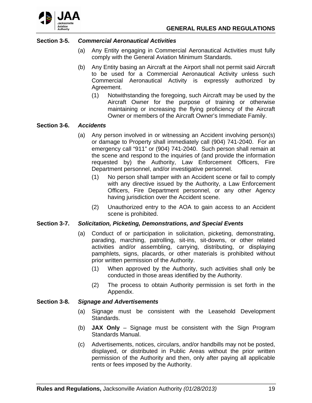

# **Section 3-5.** *Commercial Aeronautical Activities*

- (a) Any Entity engaging in Commercial Aeronautical Activities must fully comply with the General Aviation Minimum Standards.
- (b) Any Entity basing an Aircraft at the Airport shall not permit said Aircraft to be used for a Commercial Aeronautical Activity unless such Commercial Aeronautical Activity is expressly authorized by Agreement.
	- (1) Notwithstanding the foregoing, such Aircraft may be used by the Aircraft Owner for the purpose of training or otherwise maintaining or increasing the flying proficiency of the Aircraft Owner or members of the Aircraft Owner's Immediate Family.

## **Section 3-6.** *Accidents*

- (a) Any person involved in or witnessing an Accident involving person(s) or damage to Property shall immediately call (904) 741-2040. For an emergency call "911" or (904) 741-2040. Such person shall remain at the scene and respond to the inquiries of (and provide the information requested by) the Authority, Law Enforcement Officers, Fire Department personnel, and/or investigative personnel.
	- (1) No person shall tamper with an Accident scene or fail to comply with any directive issued by the Authority, a Law Enforcement Officers, Fire Department personnel, or any other Agency having jurisdiction over the Accident scene.
	- (2) Unauthorized entry to the AOA to gain access to an Accident scene is prohibited.

#### **Section 3-7.** *Solicitation, Picketing, Demonstrations, and Special Events*

- (a) Conduct of or participation in solicitation, picketing, demonstrating, parading, marching, patrolling, sit-ins, sit-downs, or other related activities and/or assembling, carrying, distributing, or displaying pamphlets, signs, placards, or other materials is prohibited without prior written permission of the Authority.
	- (1) When approved by the Authority, such activities shall only be conducted in those areas identified by the Authority.
	- (2) The process to obtain Authority permission is set forth in the Appendix.

#### **Section 3-8.** *Signage and Advertisements*

- (a) Signage must be consistent with the Leasehold Development Standards.
- (b) **JAX Only**  Signage must be consistent with the Sign Program Standards Manual.
- (c) Advertisements, notices, circulars, and/or handbills may not be posted, displayed, or distributed in Public Areas without the prior written permission of the Authority and then, only after paying all applicable rents or fees imposed by the Authority.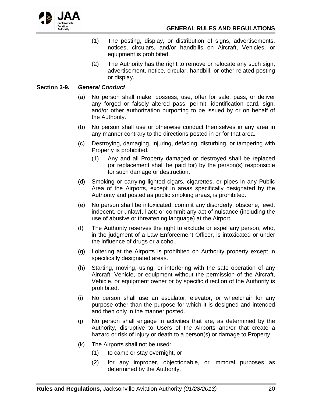

- (1) The posting, display, or distribution of signs, advertisements, notices, circulars, and/or handbills on Aircraft, Vehicles, or equipment is prohibited.
- (2) The Authority has the right to remove or relocate any such sign, advertisement, notice, circular, handbill, or other related posting or display.

# **Section 3-9.** *General Conduct*

- (a) No person shall make, possess, use, offer for sale, pass, or deliver any forged or falsely altered pass, permit, identification card, sign, and/or other authorization purporting to be issued by or on behalf of the Authority.
- (b) No person shall use or otherwise conduct themselves in any area in any manner contrary to the directions posted in or for that area.
- (c) Destroying, damaging, injuring, defacing, disturbing, or tampering with Property is prohibited.
	- (1) Any and all Property damaged or destroyed shall be replaced (or replacement shall be paid for) by the person(s) responsible for such damage or destruction.
- (d) Smoking or carrying lighted cigars, cigarettes, or pipes in any Public Area of the Airports, except in areas specifically designated by the Authority and posted as public smoking areas, is prohibited.
- (e) No person shall be intoxicated; commit any disorderly, obscene, lewd, indecent, or unlawful act; or commit any act of nuisance (including the use of abusive or threatening language) at the Airport.
- (f) The Authority reserves the right to exclude or expel any person, who, in the judgment of a Law Enforcement Officer, is intoxicated or under the influence of drugs or alcohol.
- (g) Loitering at the Airports is prohibited on Authority property except in specifically designated areas.
- (h) Starting, moving, using, or interfering with the safe operation of any Aircraft, Vehicle, or equipment without the permission of the Aircraft, Vehicle, or equipment owner or by specific direction of the Authority is prohibited.
- (i) No person shall use an escalator, elevator, or wheelchair for any purpose other than the purpose for which it is designed and intended and then only in the manner posted.
- (j) No person shall engage in activities that are, as determined by the Authority, disruptive to Users of the Airports and/or that create a hazard or risk of injury or death to a person(s) or damage to Property.
- (k) The Airports shall not be used:
	- (1) to camp or stay overnight, or
	- (2) for any improper, objectionable, or immoral purposes as determined by the Authority.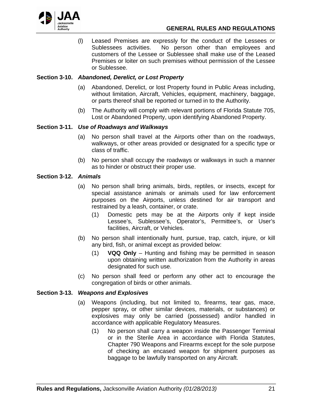

(l) Leased Premises are expressly for the conduct of the Lessees or Sublessees activities. No person other than employees and customers of the Lessee or Sublessee shall make use of the Leased Premises or loiter on such premises without permission of the Lessee or Sublessee.

## **Section 3-10.** *Abandoned, Derelict, or Lost Property*

- (a) Abandoned, Derelict, or lost Property found in Public Areas including, without limitation, Aircraft, Vehicles, equipment, machinery, baggage, or parts thereof shall be reported or turned in to the Authority.
- (b) The Authority will comply with relevant portions of Florida Statute 705, Lost or Abandoned Property, upon identifying Abandoned Property.

## **Section 3-11.** *Use of Roadways and Walkways*

- (a) No person shall travel at the Airports other than on the roadways, walkways, or other areas provided or designated for a specific type or class of traffic.
- (b) No person shall occupy the roadways or walkways in such a manner as to hinder or obstruct their proper use.

#### **Section 3-12.** *Animals*

- (a) No person shall bring animals, birds, reptiles, or insects, except for special assistance animals or animals used for law enforcement purposes on the Airports, unless destined for air transport and restrained by a leash, container, or crate.
	- (1) Domestic pets may be at the Airports only if kept inside Lessee's, Sublessee's, Operator's, Permittee's, or User's facilities, Aircraft, or Vehicles.
- (b) No person shall intentionally hunt, pursue, trap, catch, injure, or kill any bird, fish, or animal except as provided below:
	- (1) **VQQ Only**  Hunting and fishing may be permitted in season upon obtaining written authorization from the Authority in areas designated for such use.
- (c) No person shall feed or perform any other act to encourage the congregation of birds or other animals.

#### **Section 3-13.** *Weapons and Explosives*

- (a) Weapons (including, but not limited to, firearms, tear gas, mace, pepper spray*,* or other similar devices, materials, or substances) or explosives may only be carried (possessed) and/or handled in accordance with applicable Regulatory Measures.
	- (1) No person shall carry a weapon inside the Passenger Terminal or in the Sterile Area in accordance with Florida Statutes, Chapter 790 Weapons and Firearms except for the sole purpose of checking an encased weapon for shipment purposes as baggage to be lawfully transported on any Aircraft.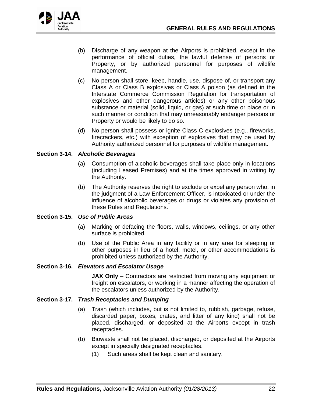

- (b) Discharge of any weapon at the Airports is prohibited, except in the performance of official duties, the lawful defense of persons or Property, or by authorized personnel for purposes of wildlife management.
- (c) No person shall store, keep, handle, use, dispose of, or transport any Class A or Class B explosives or Class A poison (as defined in the Interstate Commerce Commission Regulation for transportation of explosives and other dangerous articles) or any other poisonous substance or material (solid, liquid, or gas) at such time or place or in such manner or condition that may unreasonably endanger persons or Property or would be likely to do so.
- (d) No person shall possess or ignite Class C explosives (e.g., fireworks, firecrackers, etc.) with exception of explosives that may be used by Authority authorized personnel for purposes of wildlife management.

# **Section 3-14.** *Alcoholic Beverages*

- (a) Consumption of alcoholic beverages shall take place only in locations (including Leased Premises) and at the times approved in writing by the Authority.
- (b) The Authority reserves the right to exclude or expel any person who, in the judgment of a Law Enforcement Officer, is intoxicated or under the influence of alcoholic beverages or drugs or violates any provision of these Rules and Regulations.

# **Section 3-15.** *Use of Public Areas*

- (a) Marking or defacing the floors, walls, windows, ceilings, or any other surface is prohibited.
- (b) Use of the Public Area in any facility or in any area for sleeping or other purposes in lieu of a hotel, motel, or other accommodations is prohibited unless authorized by the Authority.

# **Section 3-16.** *Elevators and Escalator Usage*

**JAX Only** – Contractors are restricted from moving any equipment or freight on escalators, or working in a manner affecting the operation of the escalators unless authorized by the Authority.

## **Section 3-17.** *Trash Receptacles and Dumping*

- (a) Trash (which includes, but is not limited to, rubbish, garbage, refuse, discarded paper, boxes, crates, and litter of any kind) shall not be placed, discharged, or deposited at the Airports except in trash receptacles.
- (b) Biowaste shall not be placed, discharged, or deposited at the Airports except in specially designated receptacles.
	- (1) Such areas shall be kept clean and sanitary.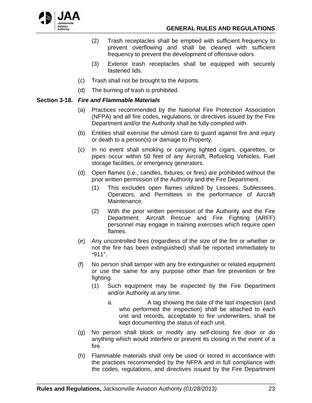- (2) Trash receptacles shall be emptied with sufficient frequency to prevent overflowing and shall be cleaned with sufficient frequency to prevent the development of offensive odors.
- (3) Exterior trash receptacles shall be equipped with securely fastened lids.
- (c) Trash shall not be brought to the Airports.
- (d) The burning of trash is prohibited.

## **Section 3-18.** *Fire and Flammable Materials*

- (a) Practices recommended by the National Fire Protection Association (NFPA) and all fire codes, regulations, or directives issued by the Fire Department and/or the Authority shall be fully complied with.
- (b) Entities shall exercise the utmost care to guard against fire and injury or death to a person(s) or damage to Property.
- (c) In no event shall smoking or carrying lighted cigars, cigarettes, or pipes occur within 50 feet of any Aircraft, Refueling Vehicles, Fuel storage facilities, or emergency generators.
- (d) Open flames (i.e., candles, fixtures, or fires) are prohibited without the prior written permission of the Authority and the Fire Department.
	- (1) This excludes open flames utilized by Lessees, Sublessees, Operators, and Permittees in the performance of Aircraft Maintenance.
	- (2) With the prior written permission of the Authority and the Fire Department, Aircraft Rescue and Fire Fighting (ARFF) personnel may engage in training exercises which require open flames.
- (e) Any uncontrolled fires (regardless of the size of the fire or whether or not the fire has been extinguished) shall be reported immediately to "911".
- (f) No person shall tamper with any fire extinguisher or related equipment or use the same for any purpose other than fire prevention or fire fighting.
	- (1) Such equipment may be inspected by the Fire Department and/or Authority at any time.
		- a. A tag showing the date of the last inspection (and who performed the inspection) shall be attached to each unit and records, acceptable to fire underwriters, shall be kept documenting the status of each unit.
- (g) No person shall block or modify any self-closing fire door or do anything which would interfere or prevent its closing in the event of a fire.
- (h) Flammable materials shall only be used or stored in accordance with the practices recommended by the NFPA and in full compliance with the codes, regulations, and directives issued by the Fire Department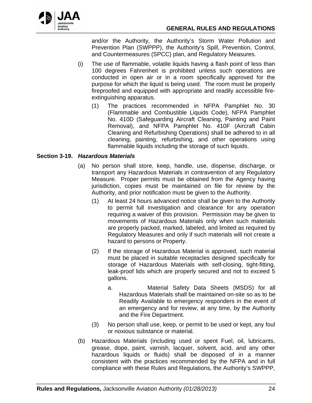

and/or the Authority, the Authority's Storm Water Pollution and Prevention Plan (SWPPP), the Authority's Spill, Prevention, Control, and Countermeasures (SPCC) plan, and Regulatory Measures.

- (i) The use of flammable, volatile liquids having a flash point of less than 100 degrees Fahrenheit is prohibited unless such operations are conducted in open air or in a room specifically approved for the purpose for which the liquid is being used. The room must be properly fireproofed and equipped with appropriate and readily accessible fireextinguishing apparatus.
	- (1) The practices recommended in NFPA Pamphlet No. 30 (Flammable and Combustible Liquids Code), NFPA Pamphlet No. 410D (Safeguarding Aircraft Cleaning, Painting and Paint Removal), and NFPA Pamphlet No. 410F (Aircraft Cabin Cleaning and Refurbishing Operations) shall be adhered to in all cleaning, painting, refurbishing, and other operations using flammable liquids including the storage of such liquids.

# **Section 3-19.** *Hazardous Materials*

- (a) No person shall store, keep, handle, use, dispense, discharge, or transport any Hazardous Materials in contravention of any Regulatory Measure. Proper permits must be obtained from the Agency having jurisdiction, copies must be maintained on file for review by the Authority, and prior notification must be given to the Authority.
	- (1) At least 24 hours advanced notice shall be given to the Authority to permit full investigation and clearance for any operation requiring a waiver of this provision. Permission may be given to movements of Hazardous Materials only when such materials are properly packed, marked, labeled, and limited as required by Regulatory Measures and only if such materials will not create a hazard to persons or Property.
	- (2) If the storage of Hazardous Material is approved, such material must be placed in suitable receptacles designed specifically for storage of Hazardous Materials with self-closing, tight-fitting, leak-proof lids which are properly secured and not to exceed 5 gallons.
		- a. Material Safety Data Sheets (MSDS) for all Hazardous Materials shall be maintained on-site so as to be Readily Available to emergency responders in the event of an emergency and for review, at any time, by the Authority and the Fire Department.
	- (3) No person shall use, keep, or permit to be used or kept, any foul or noxious substance or material.
- (b) Hazardous Materials (including used or spent Fuel, oil, lubricants, grease, dope, paint, varnish, lacquer, solvent, acid, and any other hazardous liquids or fluids) shall be disposed of in a manner consistent with the practices recommended by the NFPA and in full compliance with these Rules and Regulations, the Authority's SWPPP,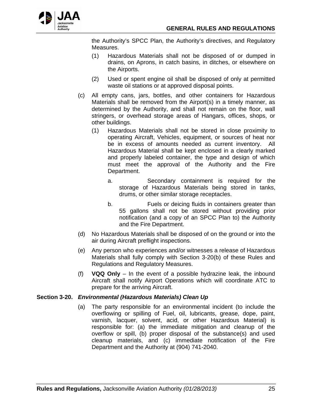

the Authority's SPCC Plan, the Authority's directives, and Regulatory Measures.

- (1) Hazardous Materials shall not be disposed of or dumped in drains, on Aprons, in catch basins, in ditches, or elsewhere on the Airports.
- (2) Used or spent engine oil shall be disposed of only at permitted waste oil stations or at approved disposal points.
- (c) All empty cans, jars, bottles, and other containers for Hazardous Materials shall be removed from the Airport(s) in a timely manner, as determined by the Authority, and shall not remain on the floor, wall stringers, or overhead storage areas of Hangars, offices, shops, or other buildings.
	- (1) Hazardous Materials shall not be stored in close proximity to operating Aircraft, Vehicles, equipment, or sources of heat nor be in excess of amounts needed as current inventory. All Hazardous Material shall be kept enclosed in a clearly marked and properly labeled container, the type and design of which must meet the approval of the Authority and the Fire Department.
		- a. Secondary containment is required for the storage of Hazardous Materials being stored in tanks, drums, or other similar storage receptacles.
		- b. Fuels or deicing fluids in containers greater than 55 gallons shall not be stored without providing prior notification (and a copy of an SPCC Plan to) the Authority and the Fire Department.
- (d) No Hazardous Materials shall be disposed of on the ground or into the air during Aircraft preflight inspections.
- (e) Any person who experiences and/or witnesses a release of Hazardous Materials shall fully comply with Section 3-20(b) of these Rules and Regulations and Regulatory Measures.
- (f) **VQQ Only** In the event of a possible hydrazine leak, the inbound Aircraft shall notify Airport Operations which will coordinate ATC to prepare for the arriving Aircraft.

# **Section 3-20.** *Environmental (Hazardous Materials) Clean Up*

(a) The party responsible for an environmental incident (to include the overflowing or spilling of Fuel, oil, lubricants, grease, dope, paint, varnish, lacquer, solvent, acid, or other Hazardous Material) is responsible for: (a) the immediate mitigation and cleanup of the overflow or spill, (b) proper disposal of the substance(s) and used cleanup materials, and (c) immediate notification of the Fire Department and the Authority at (904) 741-2040.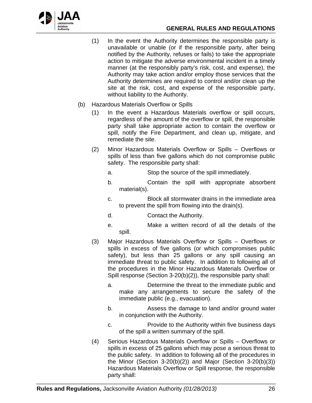

- (1) In the event the Authority determines the responsible party is unavailable or unable (or if the responsible party, after being notified by the Authority, refuses or fails) to take the appropriate action to mitigate the adverse environmental incident in a timely manner (at the responsibly party's risk, cost, and expense), the Authority may take action and/or employ those services that the Authority determines are required to control and/or clean up the site at the risk, cost, and expense of the responsible party, without liability to the Authority.
- (b) Hazardous Materials Overflow or Spills
	- (1) In the event a Hazardous Materials overflow or spill occurs, regardless of the amount of the overflow or spill, the responsible party shall take appropriate action to contain the overflow or spill, notify the Fire Department, and clean up, mitigate, and remediate the site.
	- (2) Minor Hazardous Materials Overflow or Spills Overflows or spills of less than five gallons which do not compromise public safety. The responsible party shall:
		- a. Stop the source of the spill immediately.
		- b. Contain the spill with appropriate absorbent material(s).
		- c. Block all stormwater drains in the immediate area to prevent the spill from flowing into the drain(s).
		- d. Contact the Authority.
		- e. Make a written record of all the details of the spill.
	- (3) Major Hazardous Materials Overflow or Spills Overflows or spills in excess of five gallons (or which compromises public safety), but less than 25 gallons or any spill causing an immediate threat to public safety. In addition to following all of the procedures in the Minor Hazardous Materials Overflow or Spill response (Section 3-20(b)(2)), the responsible party shall:
		- a. Determine the threat to the immediate public and make any arrangements to secure the safety of the immediate public (e.g., evacuation).
		- b. Assess the damage to land and/or ground water in conjunction with the Authority.
		- c. Provide to the Authority within five business days of the spill a written summary of the spill.
	- (4) Serious Hazardous Materials Overflow or Spills Overflows or spills in excess of 25 gallons which may pose a serious threat to the public safety. In addition to following all of the procedures in the Minor (Section 3-20(b)(2)) and Major (Section 3-20(b)(3)) Hazardous Materials Overflow or Spill response, the responsible party shall: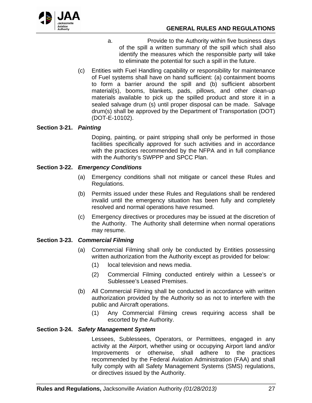- a. Provide to the Authority within five business days of the spill a written summary of the spill which shall also identify the measures which the responsible party will take to eliminate the potential for such a spill in the future.
- (c) Entities with Fuel Handling capability or responsibility for maintenance of Fuel systems shall have on hand sufficient: (a) containment booms to form a barrier around the spill and (b) sufficient absorbent material(s), booms, blankets, pads, pillows, and other clean-up materials available to pick up the spilled product and store it in a sealed salvage drum (s) until proper disposal can be made. Salvage drum(s) shall be approved by the Department of Transportation (DOT) (DOT-E-10102).

# **Section 3-21.** *Painting*

Doping, painting, or paint stripping shall only be performed in those facilities specifically approved for such activities and in accordance with the practices recommended by the NFPA and in full compliance with the Authority's SWPPP and SPCC Plan.

# **Section 3-22.** *Emergency Conditions*

- (a) Emergency conditions shall not mitigate or cancel these Rules and Regulations.
- (b) Permits issued under these Rules and Regulations shall be rendered invalid until the emergency situation has been fully and completely resolved and normal operations have resumed.
- (c) Emergency directives or procedures may be issued at the discretion of the Authority. The Authority shall determine when normal operations may resume.

# **Section 3-23.** *Commercial Filming*

- (a) Commercial Filming shall only be conducted by Entities possessing written authorization from the Authority except as provided for below:
	- (1) local television and news media.
	- (2) Commercial Filming conducted entirely within a Lessee's or Sublessee's Leased Premises.
- (b) All Commercial Filming shall be conducted in accordance with written authorization provided by the Authority so as not to interfere with the public and Aircraft operations.
	- (1) Any Commercial Filming crews requiring access shall be escorted by the Authority.

## **Section 3-24.** *Safety Management System*

Lessees, Sublessees, Operators, or Permittees, engaged in any activity at the Airport, whether using or occupying Airport land and/or Improvements or otherwise, shall adhere to the practices recommended by the Federal Aviation Administration (FAA) and shall fully comply with all Safety Management Systems (SMS) regulations, or directives issued by the Authority.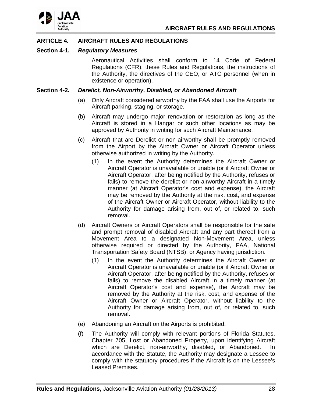

# **ARTICLE 4. AIRCRAFT RULES AND REGULATIONS**

#### **Section 4-1.** *Regulatory Measures*

Aeronautical Activities shall conform to 14 Code of Federal Regulations (CFR), these Rules and Regulations, the instructions of the Authority, the directives of the CEO, or ATC personnel (when in existence or operation).

#### **Section 4-2.** *Derelict, Non-Airworthy, Disabled, or Abandoned Aircraft*

- (a) Only Aircraft considered airworthy by the FAA shall use the Airports for Aircraft parking, staging, or storage.
- (b) Aircraft may undergo major renovation or restoration as long as the Aircraft is stored in a Hangar or such other locations as may be approved by Authority in writing for such Aircraft Maintenance.
- (c) Aircraft that are Derelict or non-airworthy shall be promptly removed from the Airport by the Aircraft Owner or Aircraft Operator unless otherwise authorized in writing by the Authority.
	- (1) In the event the Authority determines the Aircraft Owner or Aircraft Operator is unavailable or unable (or if Aircraft Owner or Aircraft Operator, after being notified by the Authority, refuses or fails) to remove the derelict or non-airworthy Aircraft in a timely manner (at Aircraft Operator's cost and expense), the Aircraft may be removed by the Authority at the risk, cost, and expense of the Aircraft Owner or Aircraft Operator, without liability to the Authority for damage arising from, out of, or related to, such removal.
- (d) Aircraft Owners or Aircraft Operators shall be responsible for the safe and prompt removal of disabled Aircraft and any part thereof from a Movement Area to a designated Non-Movement Area, unless otherwise required or directed by the Authority, FAA, National Transportation Safety Board (NTSB), or Agency having jurisdiction.
	- (1) In the event the Authority determines the Aircraft Owner or Aircraft Operator is unavailable or unable (or if Aircraft Owner or Aircraft Operator, after being notified by the Authority, refuses or fails) to remove the disabled Aircraft in a timely manner (at Aircraft Operator's cost and expense), the Aircraft may be removed by the Authority at the risk, cost, and expense of the Aircraft Owner or Aircraft Operator, without liability to the Authority for damage arising from, out of, or related to, such removal.
- (e) Abandoning an Aircraft on the Airports is prohibited.
- (f) The Authority will comply with relevant portions of Florida Statutes, Chapter 705, Lost or Abandoned Property, upon identifying Aircraft which are Derelict, non-airworthy, disabled, or Abandoned. In accordance with the Statute, the Authority may designate a Lessee to comply with the statutory procedures if the Aircraft is on the Lessee's Leased Premises.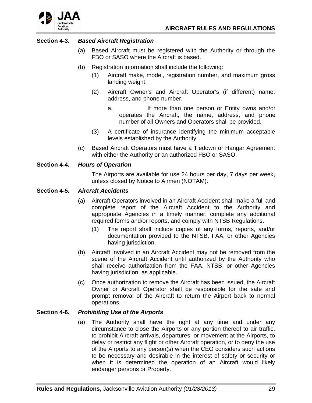

# **Section 4-3.** *Based Aircraft Registration*

- (a) Based Aircraft must be registered with the Authority or through the FBO or SASO where the Aircraft is based.
- (b) Registration information shall include the following:
	- (1) Aircraft make, model, registration number, and maximum gross landing weight.
	- (2) Aircraft Owner's and Aircraft Operator's (if different) name, address, and phone number.
		- a. If more than one person or Entity owns and/or operates the Aircraft, the name, address, and phone number of all Owners and Operators shall be provided.
	- (3) A certificate of insurance identifying the minimum acceptable levels established by the Authority
- (c) Based Aircraft Operators must have a Tiedown or Hangar Agreement with either the Authority or an authorized FBO or SASO.

## **Section 4-4.** *Hours of Operation*

The Airports are available for use 24 hours per day, 7 days per week, unless closed by Notice to Airmen (NOTAM).

#### **Section 4-5.** *Aircraft Accidents*

- (a) Aircraft Operators involved in an Aircraft Accident shall make a full and complete report of the Aircraft Accident to the Authority and appropriate Agencies in a timely manner, complete any additional required forms and/or reports, and comply with NTSB Regulations.
	- (1) The report shall include copies of any forms, reports, and/or documentation provided to the NTSB, FAA, or other Agencies having jurisdiction.
- (b) Aircraft involved in an Aircraft Accident may not be removed from the scene of the Aircraft Accident until authorized by the Authority who shall receive authorization from the FAA, NTSB, or other Agencies having jurisdiction, as applicable.
- (c) Once authorization to remove the Aircraft has been issued, the Aircraft Owner or Aircraft Operator shall be responsible for the safe and prompt removal of the Aircraft to return the Airport back to normal operations.

## **Section 4-6.** *Prohibiting Use of the Airports*

(a) The Authority shall have the right at any time and under any circumstance to close the Airports or any portion thereof to air traffic, to prohibit Aircraft arrivals, departures, or movement at the Airports, to delay or restrict any flight or other Aircraft operation, or to deny the use of the Airports to any person(s) when the CEO considers such actions to be necessary and desirable in the interest of safety or security or when it is determined the operation of an Aircraft would likely endanger persons or Property.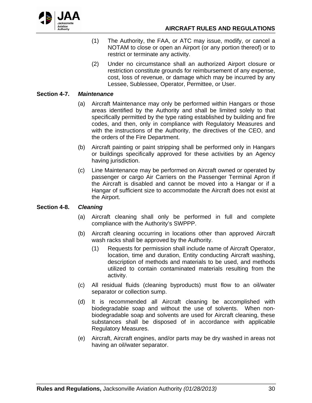

- (1) The Authority, the FAA, or ATC may issue, modify, or cancel a NOTAM to close or open an Airport (or any portion thereof) or to restrict or terminate any activity.
- (2) Under no circumstance shall an authorized Airport closure or restriction constitute grounds for reimbursement of any expense, cost, loss of revenue, or damage which may be incurred by any Lessee, Sublessee, Operator, Permittee, or User.

## **Section 4-7.** *Maintenance*

- (a) Aircraft Maintenance may only be performed within Hangars or those areas identified by the Authority and shall be limited solely to that specifically permitted by the type rating established by building and fire codes, and then, only in compliance with Regulatory Measures and with the instructions of the Authority, the directives of the CEO, and the orders of the Fire Department.
- (b) Aircraft painting or paint stripping shall be performed only in Hangars or buildings specifically approved for these activities by an Agency having jurisdiction.
- (c) Line Maintenance may be performed on Aircraft owned or operated by passenger or cargo Air Carriers on the Passenger Terminal Apron if the Aircraft is disabled and cannot be moved into a Hangar or if a Hangar of sufficient size to accommodate the Aircraft does not exist at the Airport.

## **Section 4-8.** *Cleaning*

- (a) Aircraft cleaning shall only be performed in full and complete compliance with the Authority's SWPPP.
- (b) Aircraft cleaning occurring in locations other than approved Aircraft wash racks shall be approved by the Authority.
	- (1) Requests for permission shall include name of Aircraft Operator, location, time and duration, Entity conducting Aircraft washing, description of methods and materials to be used, and methods utilized to contain contaminated materials resulting from the activity.
- (c) All residual fluids (cleaning byproducts) must flow to an oil/water separator or collection sump.
- (d) It is recommended all Aircraft cleaning be accomplished with biodegradable soap and without the use of solvents. When nonbiodegradable soap and solvents are used for Aircraft cleaning, these substances shall be disposed of in accordance with applicable Regulatory Measures.
- (e) Aircraft, Aircraft engines, and/or parts may be dry washed in areas not having an oil/water separator.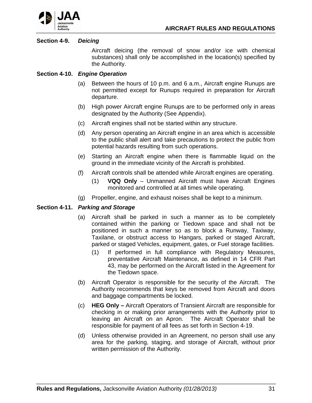

## **Section 4-9.** *Deicing*

Aircraft deicing (the removal of snow and/or ice with chemical substances) shall only be accomplished in the location(s) specified by the Authority.

#### **Section 4-10.** *Engine Operation*

- (a) Between the hours of 10 p.m. and 6 a.m., Aircraft engine Runups are not permitted except for Runups required in preparation for Aircraft departure.
- (b) High power Aircraft engine Runups are to be performed only in areas designated by the Authority (See Appendix).
- (c) Aircraft engines shall not be started within any structure.
- (d) Any person operating an Aircraft engine in an area which is accessible to the public shall alert and take precautions to protect the public from potential hazards resulting from such operations.
- (e) Starting an Aircraft engine when there is flammable liquid on the ground in the immediate vicinity of the Aircraft is prohibited.
- (f) Aircraft controls shall be attended while Aircraft engines are operating.
	- (1) **VQQ Only** Unmanned Aircraft must have Aircraft Engines monitored and controlled at all times while operating.
- (g) Propeller, engine, and exhaust noises shall be kept to a minimum.

## **Section 4-11.** *Parking and Storage*

- (a) Aircraft shall be parked in such a manner as to be completely contained within the parking or Tiedown space and shall not be positioned in such a manner so as to block a Runway, Taxiway, Taxilane, or obstruct access to Hangars, parked or staged Aircraft, parked or staged Vehicles, equipment, gates, or Fuel storage facilities.
	- (1) If performed in full compliance with Regulatory Measures, preventative Aircraft Maintenance, as defined in 14 CFR Part 43, may be performed on the Aircraft listed in the Agreement for the Tiedown space.
- (b) Aircraft Operator is responsible for the security of the Aircraft. The Authority recommends that keys be removed from Aircraft and doors and baggage compartments be locked.
- (c) **HEG Only** Aircraft Operators of Transient Aircraft are responsible for checking in or making prior arrangements with the Authority prior to leaving an Aircraft on an Apron. The Aircraft Operator shall be responsible for payment of all fees as set forth in Section 4-19.
- (d) Unless otherwise provided in an Agreement, no person shall use any area for the parking, staging, and storage of Aircraft, without prior written permission of the Authority.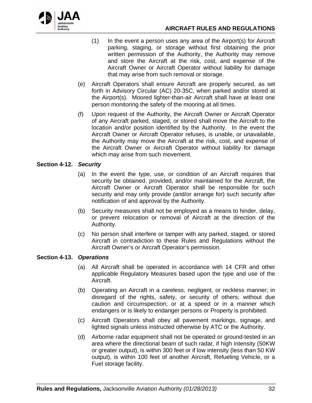

- (1) In the event a person uses any area of the Airport(s) for Aircraft parking, staging, or storage without first obtaining the prior written permission of the Authority, the Authority may remove and store the Aircraft at the risk, cost, and expense of the Aircraft Owner or Aircraft Operator without liability for damage that may arise from such removal or storage.
- (e) Aircraft Operators shall ensure Aircraft are properly secured, as set forth in Advisory Circular (AC) 20-35C, when parked and/or stored at the Airport(s). Moored lighter-than-air Aircraft shall have at least one person monitoring the safety of the mooring at all times.
- (f) Upon request of the Authority, the Aircraft Owner or Aircraft Operator of any Aircraft parked, staged, or stored shall move the Aircraft to the location and/or position identified by the Authority. In the event the Aircraft Owner or Aircraft Operator refuses, is unable, or unavailable, the Authority may move the Aircraft at the risk, cost, and expense of the Aircraft Owner or Aircraft Operator without liability for damage which may arise from such movement.

# **Section 4-12.** *Security*

- (a) In the event the type, use, or condition of an Aircraft requires that security be obtained, provided, and/or maintained for the Aircraft, the Aircraft Owner or Aircraft Operator shall be responsible for such security and may only provide (and/or arrange for) such security after notification of and approval by the Authority.
- (b) Security measures shall not be employed as a means to hinder, delay, or prevent relocation or removal of Aircraft at the direction of the Authority.
- (c) No person shall interfere or tamper with any parked, staged, or stored Aircraft in contradiction to these Rules and Regulations without the Aircraft Owner's or Aircraft Operator's permission.

# **Section 4-13.** *Operations*

- (a) All Aircraft shall be operated in accordance with 14 CFR and other applicable Regulatory Measures based upon the type and use of the Aircraft.
- (b) Operating an Aircraft in a careless, negligent, or reckless manner; in disregard of the rights, safety, or security of others; without due caution and circumspection; or at a speed or in a manner which endangers or is likely to endanger persons or Property is prohibited.
- (c) Aircraft Operators shall obey all pavement markings, signage, and lighted signals unless instructed otherwise by ATC or the Authority.
- (d) Airborne radar equipment shall not be operated or ground-tested in an area where the directional beam of such radar, if high intensity (50KW or greater output), is within 300 feet or if low intensity (less than 50 KW output), is within 100 feet of another Aircraft, Refueling Vehicle, or a Fuel storage facility.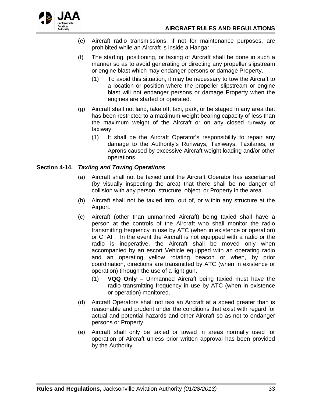- (e) Aircraft radio transmissions, if not for maintenance purposes, are prohibited while an Aircraft is inside a Hangar.
- (f) The starting, positioning, or taxiing of Aircraft shall be done in such a manner so as to avoid generating or directing any propeller slipstream or engine blast which may endanger persons or damage Property.
	- (1) To avoid this situation, it may be necessary to tow the Aircraft to a location or position where the propeller slipstream or engine blast will not endanger persons or damage Property when the engines are started or operated.
- (g) Aircraft shall not land, take off, taxi, park, or be staged in any area that has been restricted to a maximum weight bearing capacity of less than the maximum weight of the Aircraft or on any closed runway or taxiway.
	- (1) It shall be the Aircraft Operator's responsibility to repair any damage to the Authority's Runways, Taxiways, Taxilanes, or Aprons caused by excessive Aircraft weight loading and/or other operations.

# **Section 4-14.** *Taxiing and Towing Operations*

- (a) Aircraft shall not be taxied until the Aircraft Operator has ascertained (by visually inspecting the area) that there shall be no danger of collision with any person, structure, object, or Property in the area.
- (b) Aircraft shall not be taxied into, out of, or within any structure at the Airport.
- (c) Aircraft (other than unmanned Aircraft) being taxied shall have a person at the controls of the Aircraft who shall monitor the radio transmitting frequency in use by ATC (when in existence or operation) or CTAF. In the event the Aircraft is not equipped with a radio or the radio is inoperative, the Aircraft shall be moved only when accompanied by an escort Vehicle equipped with an operating radio and an operating yellow rotating beacon or when, by prior coordination, directions are transmitted by ATC (when in existence or operation) through the use of a light gun.
	- (1) **VQQ Only** Unmanned Aircraft being taxied must have the radio transmitting frequency in use by ATC (when in existence or operation) monitored.
- (d) Aircraft Operators shall not taxi an Aircraft at a speed greater than is reasonable and prudent under the conditions that exist with regard for actual and potential hazards and other Aircraft so as not to endanger persons or Property.
- (e) Aircraft shall only be taxied or towed in areas normally used for operation of Aircraft unless prior written approval has been provided by the Authority.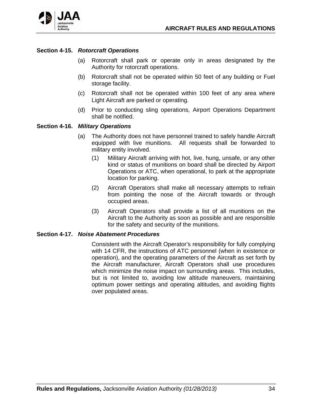



## **Section 4-15.** *Rotorcraft Operations*

- (a) Rotorcraft shall park or operate only in areas designated by the Authority for rotorcraft operations.
- (b) Rotorcraft shall not be operated within 50 feet of any building or Fuel storage facility.
- (c) Rotorcraft shall not be operated within 100 feet of any area where Light Aircraft are parked or operating.
- (d) Prior to conducting sling operations, Airport Operations Department shall be notified.

## **Section 4-16.** *Military Operations*

- (a) The Authority does not have personnel trained to safely handle Aircraft equipped with live munitions. All requests shall be forwarded to military entity involved.
	- (1) Military Aircraft arriving with hot, live, hung, unsafe, or any other kind or status of munitions on board shall be directed by Airport Operations or ATC, when operational, to park at the appropriate location for parking.
	- (2) Aircraft Operators shall make all necessary attempts to refrain from pointing the nose of the Aircraft towards or through occupied areas.
	- (3) Aircraft Operators shall provide a list of all munitions on the Aircraft to the Authority as soon as possible and are responsible for the safety and security of the munitions.

#### **Section 4-17.** *Noise Abatement Procedures*

Consistent with the Aircraft Operator's responsibility for fully complying with 14 CFR, the instructions of ATC personnel (when in existence or operation), and the operating parameters of the Aircraft as set forth by the Aircraft manufacturer, Aircraft Operators shall use procedures which minimize the noise impact on surrounding areas. This includes, but is not limited to, avoiding low altitude maneuvers, maintaining optimum power settings and operating altitudes, and avoiding flights over populated areas.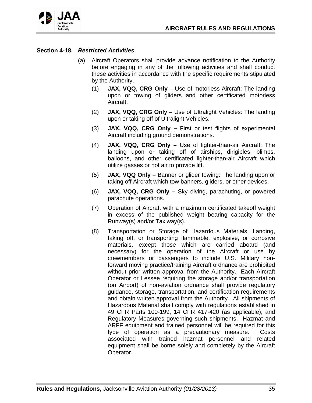

## **Section 4-18.** *Restricted Activities*

- (a) Aircraft Operators shall provide advance notification to the Authority before engaging in any of the following activities and shall conduct these activities in accordance with the specific requirements stipulated by the Authority.
	- (1) **JAX, VQQ, CRG Only –** Use of motorless Aircraft: The landing upon or towing of gliders and other certificated motorless Aircraft.
	- (2) **JAX, VQQ, CRG Only –** Use of Ultralight Vehicles: The landing upon or taking off of Ultralight Vehicles.
	- (3) **JAX, VQQ, CRG Only –** First or test flights of experimental Aircraft including ground demonstrations.
	- (4) **JAX, VQQ, CRG Only –** Use of lighter-than-air Aircraft: The landing upon or taking off of airships, dirigibles, blimps, balloons, and other certificated lighter-than-air Aircraft which utilize gasses or hot air to provide lift.
	- (5) **JAX, VQQ Only –** Banner or glider towing: The landing upon or taking off Aircraft which tow banners, gliders, or other devices.
	- (6) **JAX, VQQ, CRG Only –** Sky diving, parachuting, or powered parachute operations.
	- (7) Operation of Aircraft with a maximum certificated takeoff weight in excess of the published weight bearing capacity for the Runway(s) and/or Taxiway(s).
	- (8) Transportation or Storage of Hazardous Materials: Landing, taking off, or transporting flammable, explosive, or corrosive materials, except those which are carried aboard (and necessary) for the operation of the Aircraft or use by crewmembers or passengers to include U.S. Military nonforward moving practice/training Aircraft ordnance are prohibited without prior written approval from the Authority. Each Aircraft Operator or Lessee requiring the storage and/or transportation (on Airport) of non-aviation ordnance shall provide regulatory guidance, storage, transportation, and certification requirements and obtain written approval from the Authority. All shipments of Hazardous Material shall comply with regulations established in 49 CFR Parts 100-199, 14 CFR 417-420 (as applicable), and Regulatory Measures governing such shipments. Hazmat and ARFF equipment and trained personnel will be required for this type of operation as a precautionary measure. Costs associated with trained hazmat personnel and related equipment shall be borne solely and completely by the Aircraft Operator.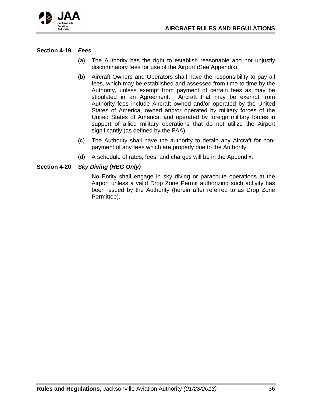

# **Section 4-19.** *Fees*

- (a) The Authority has the right to establish reasonable and not unjustly discriminatory fees for use of the Airport (See Appendix).
- (b) Aircraft Owners and Operators shall have the responsibility to pay all fees, which may be established and assessed from time to time by the Authority, unless exempt from payment of certain fees as may be stipulated in an Agreement. Aircraft that may be exempt from Authority fees include Aircraft owned and/or operated by the United States of America, owned and/or operated by military forces of the United States of America, and operated by foreign military forces in support of allied military operations that do not utilize the Airport significantly (as defined by the FAA).
- (c) The Authority shall have the authority to detain any Aircraft for nonpayment of any fees which are properly due to the Authority.
- (d) A schedule of rates, fees, and charges will be in the Appendix.

# **Section 4-20.** *Sky Diving (HEG Only)*

No Entity shall engage in sky diving or parachute operations at the Airport unless a valid Drop Zone Permit authorizing such activity has been issued by the Authority (herein after referred to as Drop Zone Permittee).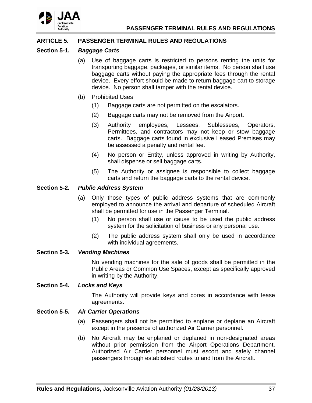

# **ARTICLE 5. PASSENGER TERMINAL RULES AND REGULATIONS**

## **Section 5-1.** *Baggage Carts*

- (a) Use of baggage carts is restricted to persons renting the units for transporting baggage, packages, or similar items. No person shall use baggage carts without paying the appropriate fees through the rental device. Every effort should be made to return baggage cart to storage device. No person shall tamper with the rental device.
- (b) Prohibited Uses
	- (1) Baggage carts are not permitted on the escalators.
	- (2) Baggage carts may not be removed from the Airport.
	- (3) Authority employees, Lessees, Sublessees, Operators, Permittees, and contractors may not keep or stow baggage carts. Baggage carts found in exclusive Leased Premises may be assessed a penalty and rental fee.
	- (4) No person or Entity, unless approved in writing by Authority, shall dispense or sell baggage carts.
	- (5) The Authority or assignee is responsible to collect baggage carts and return the baggage carts to the rental device.

#### **Section 5-2.** *Public Address System*

- (a) Only those types of public address systems that are commonly employed to announce the arrival and departure of scheduled Aircraft shall be permitted for use in the Passenger Terminal.
	- (1) No person shall use or cause to be used the public address system for the solicitation of business or any personal use.
	- (2) The public address system shall only be used in accordance with individual agreements.

#### **Section 5-3.** *Vending Machines*

No vending machines for the sale of goods shall be permitted in the Public Areas or Common Use Spaces, except as specifically approved in writing by the Authority.

# **Section 5-4.** *Locks and Keys*

The Authority will provide keys and cores in accordance with lease agreements.

#### **Section 5-5.** *Air Carrier Operations*

- (a) Passengers shall not be permitted to enplane or deplane an Aircraft except in the presence of authorized Air Carrier personnel.
- (b) No Aircraft may be enplaned or deplaned in non-designated areas without prior permission from the Airport Operations Department. Authorized Air Carrier personnel must escort and safely channel passengers through established routes to and from the Aircraft.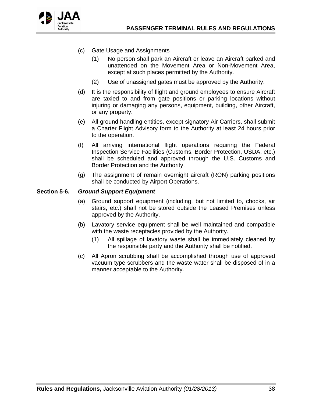

- (c) Gate Usage and Assignments
	- (1) No person shall park an Aircraft or leave an Aircraft parked and unattended on the Movement Area or Non-Movement Area, except at such places permitted by the Authority.
	- (2) Use of unassigned gates must be approved by the Authority.
- (d) It is the responsibility of flight and ground employees to ensure Aircraft are taxied to and from gate positions or parking locations without injuring or damaging any persons, equipment, building, other Aircraft, or any property.
- (e) All ground handling entities, except signatory Air Carriers, shall submit a Charter Flight Advisory form to the Authority at least 24 hours prior to the operation.
- (f) All arriving international flight operations requiring the Federal Inspection Service Facilities (Customs, Border Protection, USDA, etc.) shall be scheduled and approved through the U.S. Customs and Border Protection and the Authority.
- (g) The assignment of remain overnight aircraft (RON) parking positions shall be conducted by Airport Operations.

# **Section 5-6.** *Ground Support Equipment*

- (a) Ground support equipment (including, but not limited to, chocks, air stairs, etc.) shall not be stored outside the Leased Premises unless approved by the Authority.
- (b) Lavatory service equipment shall be well maintained and compatible with the waste receptacles provided by the Authority.
	- (1) All spillage of lavatory waste shall be immediately cleaned by the responsible party and the Authority shall be notified.
- (c) All Apron scrubbing shall be accomplished through use of approved vacuum type scrubbers and the waste water shall be disposed of in a manner acceptable to the Authority.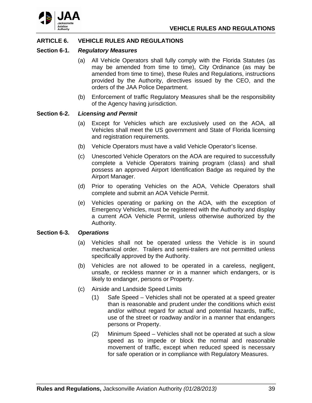

# **ARTICLE 6. VEHICLE RULES AND REGULATIONS**

#### **Section 6-1.** *Regulatory Measures*

- (a) All Vehicle Operators shall fully comply with the Florida Statutes (as may be amended from time to time), City Ordinance (as may be amended from time to time), these Rules and Regulations, instructions provided by the Authority, directives issued by the CEO, and the orders of the JAA Police Department.
- (b) Enforcement of traffic Regulatory Measures shall be the responsibility of the Agency having jurisdiction.

#### **Section 6-2.** *Licensing and Permit*

- (a) Except for Vehicles which are exclusively used on the AOA, all Vehicles shall meet the US government and State of Florida licensing and registration requirements.
- (b) Vehicle Operators must have a valid Vehicle Operator's license.
- (c) Unescorted Vehicle Operators on the AOA are required to successfully complete a Vehicle Operators training program (class) and shall possess an approved Airport Identification Badge as required by the Airport Manager.
- (d) Prior to operating Vehicles on the AOA, Vehicle Operators shall complete and submit an AOA Vehicle Permit.
- (e) Vehicles operating or parking on the AOA, with the exception of Emergency Vehicles, must be registered with the Authority and display a current AOA Vehicle Permit, unless otherwise authorized by the Authority.

#### **Section 6-3.** *Operations*

- (a) Vehicles shall not be operated unless the Vehicle is in sound mechanical order. Trailers and semi-trailers are not permitted unless specifically approved by the Authority.
- (b) Vehicles are not allowed to be operated in a careless, negligent, unsafe, or reckless manner or in a manner which endangers, or is likely to endanger, persons or Property.
- (c) Airside and Landside Speed Limits
	- (1) Safe Speed Vehicles shall not be operated at a speed greater than is reasonable and prudent under the conditions which exist and/or without regard for actual and potential hazards, traffic, use of the street or roadway and/or in a manner that endangers persons or Property.
	- (2) Minimum Speed Vehicles shall not be operated at such a slow speed as to impede or block the normal and reasonable movement of traffic, except when reduced speed is necessary for safe operation or in compliance with Regulatory Measures.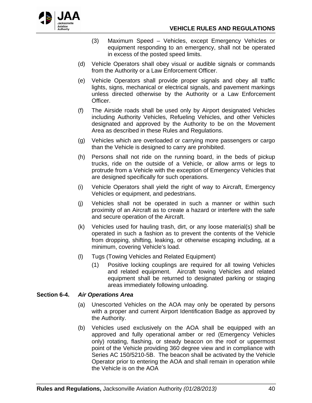

- (3) Maximum Speed Vehicles, except Emergency Vehicles or equipment responding to an emergency, shall not be operated in excess of the posted speed limits.
- (d) Vehicle Operators shall obey visual or audible signals or commands from the Authority or a Law Enforcement Officer.
- (e) Vehicle Operators shall provide proper signals and obey all traffic lights, signs, mechanical or electrical signals, and pavement markings unless directed otherwise by the Authority or a Law Enforcement Officer.
- (f) The Airside roads shall be used only by Airport designated Vehicles including Authority Vehicles, Refueling Vehicles, and other Vehicles designated and approved by the Authority to be on the Movement Area as described in these Rules and Regulations.
- (g) Vehicles which are overloaded or carrying more passengers or cargo than the Vehicle is designed to carry are prohibited.
- (h) Persons shall not ride on the running board, in the beds of pickup trucks, ride on the outside of a Vehicle, or allow arms or legs to protrude from a Vehicle with the exception of Emergency Vehicles that are designed specifically for such operations.
- (i) Vehicle Operators shall yield the right of way to Aircraft, Emergency Vehicles or equipment, and pedestrians.
- (j) Vehicles shall not be operated in such a manner or within such proximity of an Aircraft as to create a hazard or interfere with the safe and secure operation of the Aircraft.
- (k) Vehicles used for hauling trash, dirt, or any loose material(s) shall be operated in such a fashion as to prevent the contents of the Vehicle from dropping, shifting, leaking, or otherwise escaping including, at a minimum, covering Vehicle's load.
- (l) Tugs (Towing Vehicles and Related Equipment)
	- (1) Positive locking couplings are required for all towing Vehicles and related equipment. Aircraft towing Vehicles and related equipment shall be returned to designated parking or staging areas immediately following unloading.

## **Section 6-4.** *Air Operations Area*

- (a) Unescorted Vehicles on the AOA may only be operated by persons with a proper and current Airport Identification Badge as approved by the Authority.
- (b) Vehicles used exclusively on the AOA shall be equipped with an approved and fully operational amber or red (Emergency Vehicles only) rotating, flashing, or steady beacon on the roof or uppermost point of the Vehicle providing 360 degree view and in compliance with Series AC 150/5210-5B. The beacon shall be activated by the Vehicle Operator prior to entering the AOA and shall remain in operation while the Vehicle is on the AOA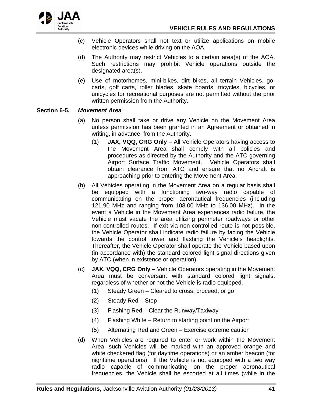

- (c) Vehicle Operators shall not text or utilize applications on mobile electronic devices while driving on the AOA.
- (d) The Authority may restrict Vehicles to a certain area(s) of the AOA. Such restrictions may prohibit Vehicle operations outside the designated area(s).
- (e) Use of motorhomes, mini-bikes, dirt bikes, all terrain Vehicles, gocarts, golf carts, roller blades, skate boards, tricycles, bicycles, or unicycles for recreational purposes are not permitted without the prior written permission from the Authority.

# **Section 6-5.** *Movement Area*

- (a) No person shall take or drive any Vehicle on the Movement Area unless permission has been granted in an Agreement or obtained in writing, in advance, from the Authority.
	- (1) **JAX, VQQ, CRG Only –** All Vehicle Operators having access to the Movement Area shall comply with all policies and procedures as directed by the Authority and the ATC governing Airport Surface Traffic Movement. Vehicle Operators shall obtain clearance from ATC and ensure that no Aircraft is approaching prior to entering the Movement Area.
- (b) All Vehicles operating in the Movement Area on a regular basis shall be equipped with a functioning two-way radio capable of communicating on the proper aeronautical frequencies (including 121.90 MHz and ranging from 108.00 MHz to 136.00 MHz). In the event a Vehicle in the Movement Area experiences radio failure, the Vehicle must vacate the area utilizing perimeter roadways or other non-controlled routes. If exit via non-controlled route is not possible, the Vehicle Operator shall indicate radio failure by facing the Vehicle towards the control tower and flashing the Vehicle's headlights. Thereafter, the Vehicle Operator shall operate the Vehicle based upon (in accordance with) the standard colored light signal directions given by ATC (when in existence or operation).
- (c) **JAX, VQQ, CRG Only –** Vehicle Operators operating in the Movement Area must be conversant with standard colored light signals, regardless of whether or not the Vehicle is radio equipped.
	- (1) Steady Green Cleared to cross, proceed, or go
	- (2) Steady Red Stop
	- (3) Flashing Red Clear the Runway/Taxiway
	- (4) Flashing White Return to starting point on the Airport
	- (5) Alternating Red and Green Exercise extreme caution
- (d) When Vehicles are required to enter or work within the Movement Area, such Vehicles will be marked with an approved orange and white checkered flag (for daytime operations) or an amber beacon (for nighttime operations). If the Vehicle is not equipped with a two way radio capable of communicating on the proper aeronautical frequencies, the Vehicle shall be escorted at all times (while in the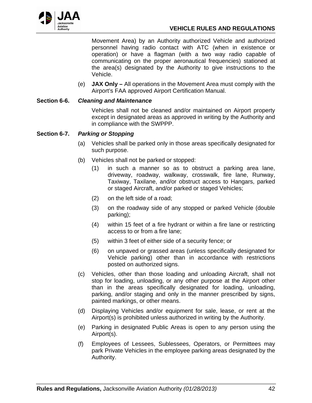

Movement Area) by an Authority authorized Vehicle and authorized personnel having radio contact with ATC (when in existence or operation) or have a flagman (with a two way radio capable of communicating on the proper aeronautical frequencies) stationed at the area(s) designated by the Authority to give instructions to the Vehicle.

(e) **JAX Only –** All operations in the Movement Area must comply with the Airport's FAA approved Airport Certification Manual.

# **Section 6-6.** *Cleaning and Maintenance*

Vehicles shall not be cleaned and/or maintained on Airport property except in designated areas as approved in writing by the Authority and in compliance with the SWPPP.

# **Section 6-7.** *Parking or Stopping*

- (a) Vehicles shall be parked only in those areas specifically designated for such purpose.
- (b) Vehicles shall not be parked or stopped:
	- (1) in such a manner so as to obstruct a parking area lane, driveway, roadway, walkway, crosswalk, fire lane, Runway, Taxiway, Taxilane, and/or obstruct access to Hangars, parked or staged Aircraft, and/or parked or staged Vehicles;
	- (2) on the left side of a road;
	- (3) on the roadway side of any stopped or parked Vehicle (double parking);
	- (4) within 15 feet of a fire hydrant or within a fire lane or restricting access to or from a fire lane;
	- (5) within 3 feet of either side of a security fence; or
	- (6) on unpaved or grassed areas (unless specifically designated for Vehicle parking) other than in accordance with restrictions posted on authorized signs.
- (c) Vehicles, other than those loading and unloading Aircraft, shall not stop for loading, unloading, or any other purpose at the Airport other than in the areas specifically designated for loading, unloading, parking, and/or staging and only in the manner prescribed by signs, painted markings, or other means.
- (d) Displaying Vehicles and/or equipment for sale, lease, or rent at the Airport(s) is prohibited unless authorized in writing by the Authority.
- (e) Parking in designated Public Areas is open to any person using the Airport(s).
- (f) Employees of Lessees, Sublessees, Operators, or Permittees may park Private Vehicles in the employee parking areas designated by the Authority.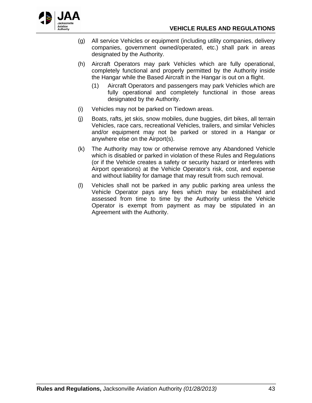

- (g) All service Vehicles or equipment (including utility companies, delivery companies, government owned/operated, etc.) shall park in areas designated by the Authority.
- (h) Aircraft Operators may park Vehicles which are fully operational, completely functional and properly permitted by the Authority inside the Hangar while the Based Aircraft in the Hangar is out on a flight.
	- (1) Aircraft Operators and passengers may park Vehicles which are fully operational and completely functional in those areas designated by the Authority.
- (i) Vehicles may not be parked on Tiedown areas.
- (j) Boats, rafts, jet skis, snow mobiles, dune buggies, dirt bikes, all terrain Vehicles, race cars, recreational Vehicles, trailers, and similar Vehicles and/or equipment may not be parked or stored in a Hangar or anywhere else on the Airport(s).
- (k) The Authority may tow or otherwise remove any Abandoned Vehicle which is disabled or parked in violation of these Rules and Regulations (or if the Vehicle creates a safety or security hazard or interferes with Airport operations) at the Vehicle Operator's risk, cost, and expense and without liability for damage that may result from such removal.
- (l) Vehicles shall not be parked in any public parking area unless the Vehicle Operator pays any fees which may be established and assessed from time to time by the Authority unless the Vehicle Operator is exempt from payment as may be stipulated in an Agreement with the Authority.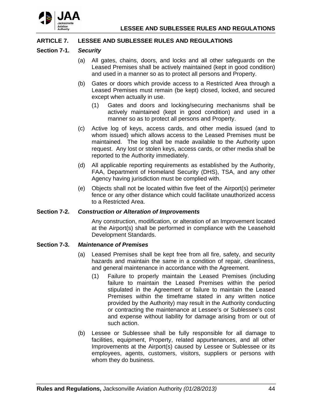

# **ARTICLE 7. LESSEE AND SUBLESSEE RULES AND REGULATIONS**

## **Section 7-1.** *Security*

- (a) All gates, chains, doors, and locks and all other safeguards on the Leased Premises shall be actively maintained (kept in good condition) and used in a manner so as to protect all persons and Property.
- (b) Gates or doors which provide access to a Restricted Area through a Leased Premises must remain (be kept) closed, locked, and secured except when actually in use.
	- (1) Gates and doors and locking/securing mechanisms shall be actively maintained (kept in good condition) and used in a manner so as to protect all persons and Property.
- (c) Active log of keys, access cards, and other media issued (and to whom issued) which allows access to the Leased Premises must be maintained. The log shall be made available to the Authority upon request. Any lost or stolen keys, access cards, or other media shall be reported to the Authority immediately.
- (d) All applicable reporting requirements as established by the Authority, FAA, Department of Homeland Security (DHS), TSA, and any other Agency having jurisdiction must be complied with.
- (e) Objects shall not be located within five feet of the Airport(s) perimeter fence or any other distance which could facilitate unauthorized access to a Restricted Area.

## **Section 7-2.** *Construction or Alteration of Improvements*

Any construction, modification, or alteration of an Improvement located at the Airport(s) shall be performed in compliance with the Leasehold Development Standards.

## **Section 7-3.** *Maintenance of Premises*

- (a) Leased Premises shall be kept free from all fire, safety, and security hazards and maintain the same in a condition of repair, cleanliness, and general maintenance in accordance with the Agreement.
	- (1) Failure to properly maintain the Leased Premises (including failure to maintain the Leased Premises within the period stipulated in the Agreement or failure to maintain the Leased Premises within the timeframe stated in any written notice provided by the Authority) may result in the Authority conducting or contracting the maintenance at Lessee's or Sublessee's cost and expense without liability for damage arising from or out of such action.
- (b) Lessee or Sublessee shall be fully responsible for all damage to facilities, equipment, Property, related appurtenances, and all other Improvements at the Airport(s) caused by Lessee or Sublessee or its employees, agents, customers, visitors, suppliers or persons with whom they do business.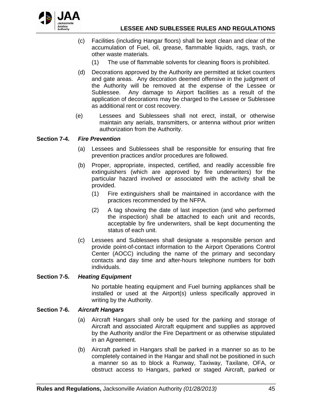

- (c) Facilities (including Hangar floors) shall be kept clean and clear of the accumulation of Fuel, oil, grease, flammable liquids, rags, trash, or other waste materials.
	- (1) The use of flammable solvents for cleaning floors is prohibited.
- (d) Decorations approved by the Authority are permitted at ticket counters and gate areas. Any decoration deemed offensive in the judgment of the Authority will be removed at the expense of the Lessee or Sublessee. Any damage to Airport facilities as a result of the application of decorations may be charged to the Lessee or Sublessee as additional rent or cost recovery.
- (e) Lessees and Sublessees shall not erect, install, or otherwise maintain any aerials, transmitters, or antenna without prior written authorization from the Authority.

# **Section 7-4.** *Fire Prevention*

- (a) Lessees and Sublessees shall be responsible for ensuring that fire prevention practices and/or procedures are followed.
- (b) Proper, appropriate, inspected, certified, and readily accessible fire extinguishers (which are approved by fire underwriters) for the particular hazard involved or associated with the activity shall be provided.
	- (1) Fire extinguishers shall be maintained in accordance with the practices recommended by the NFPA.
	- (2) A tag showing the date of last inspection (and who performed the inspection) shall be attached to each unit and records, acceptable by fire underwriters, shall be kept documenting the status of each unit.
- (c) Lessees and Sublessees shall designate a responsible person and provide point-of-contact information to the Airport Operations Control Center (AOCC) including the name of the primary and secondary contacts and day time and after-hours telephone numbers for both individuals.

## **Section 7-5.** *Heating Equipment*

No portable heating equipment and Fuel burning appliances shall be installed or used at the Airport(s) unless specifically approved in writing by the Authority.

## **Section 7-6.** *Aircraft Hangars*

- (a) Aircraft Hangars shall only be used for the parking and storage of Aircraft and associated Aircraft equipment and supplies as approved by the Authority and/or the Fire Department or as otherwise stipulated in an Agreement.
- (b) Aircraft parked in Hangars shall be parked in a manner so as to be completely contained in the Hangar and shall not be positioned in such a manner so as to block a Runway, Taxiway, Taxilane, OFA, or obstruct access to Hangars, parked or staged Aircraft, parked or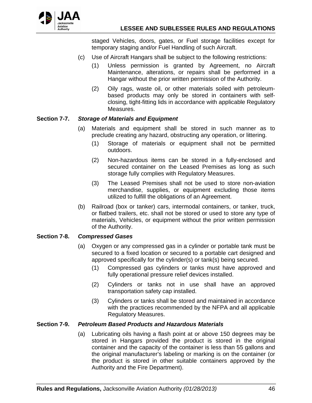

staged Vehicles, doors, gates, or Fuel storage facilities except for temporary staging and/or Fuel Handling of such Aircraft.

- (c) Use of Aircraft Hangars shall be subject to the following restrictions:
	- (1) Unless permission is granted by Agreement, no Aircraft Maintenance, alterations, or repairs shall be performed in a Hangar without the prior written permission of the Authority.
	- (2) Oily rags, waste oil, or other materials soiled with petroleumbased products may only be stored in containers with selfclosing, tight-fitting lids in accordance with applicable Regulatory Measures.

## **Section 7-7.** *Storage of Materials and Equipment*

- (a) Materials and equipment shall be stored in such manner as to preclude creating any hazard, obstructing any operation, or littering.
	- (1) Storage of materials or equipment shall not be permitted outdoors.
	- (2) Non-hazardous items can be stored in a fully-enclosed and secured container on the Leased Premises as long as such storage fully complies with Regulatory Measures.
	- (3) The Leased Premises shall not be used to store non-aviation merchandise, supplies, or equipment excluding those items utilized to fulfill the obligations of an Agreement.
- (b) Railroad (box or tanker) cars, intermodal containers, or tanker, truck, or flatbed trailers, etc. shall not be stored or used to store any type of materials, Vehicles, or equipment without the prior written permission of the Authority.

## **Section 7-8.** *Compressed Gases*

- (a) Oxygen or any compressed gas in a cylinder or portable tank must be secured to a fixed location or secured to a portable cart designed and approved specifically for the cylinder(s) or tank(s) being secured.
	- (1) Compressed gas cylinders or tanks must have approved and fully operational pressure relief devices installed.
	- (2) Cylinders or tanks not in use shall have an approved transportation safety cap installed.
	- (3) Cylinders or tanks shall be stored and maintained in accordance with the practices recommended by the NFPA and all applicable Regulatory Measures.

## **Section 7-9.** *Petroleum Based Products and Hazardous Materials*

(a) Lubricating oils having a flash point at or above 150 degrees may be stored in Hangars provided the product is stored in the original container and the capacity of the container is less than 55 gallons and the original manufacturer's labeling or marking is on the container (or the product is stored in other suitable containers approved by the Authority and the Fire Department).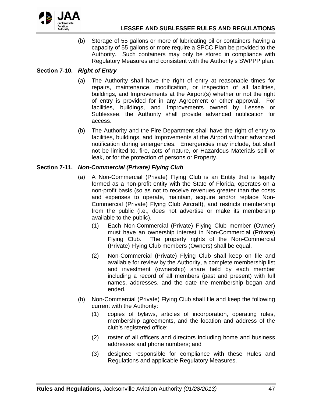

(b) Storage of 55 gallons or more of lubricating oil or containers having a capacity of 55 gallons or more require a SPCC Plan be provided to the Authority. Such containers may only be stored in compliance with Regulatory Measures and consistent with the Authority's SWPPP plan.

# **Section 7-10.** *Right of Entry*

- (a) The Authority shall have the right of entry at reasonable times for repairs, maintenance, modification, or inspection of all facilities, buildings, and Improvements at the Airport(s) whether or not the right of entry is provided for in any Agreement or other *a*pproval. For facilities, buildings, and Improvements owned by Lessee or Sublessee, the Authority shall provide advanced notification for access.
- (b) The Authority and the Fire Department shall have the right of entry to facilities, buildings, and Improvements at the Airport without advanced notification during emergencies. Emergencies may include, but shall not be limited to, fire, acts of nature, or Hazardous Materials spill or leak, or for the protection of persons or Property.

## **Section 7-11.** *Non-Commercial (Private) Flying Club*

- (a) A Non-Commercial (Private) Flying Club is an Entity that is legally formed as a non-profit entity with the State of Florida, operates on a non-profit basis (so as not to receive revenues greater than the costs and expenses to operate, maintain, acquire and/or replace Non-Commercial (Private) Flying Club Aircraft), and restricts membership from the public (i.e., does not advertise or make its membership available to the public).
	- (1) Each Non-Commercial (Private) Flying Club member (Owner) must have an ownership interest in Non-Commercial (Private) Flying Club. The property rights of the Non-Commercial (Private) Flying Club members (Owners) shall be equal.
	- (2) Non-Commercial (Private) Flying Club shall keep on file and available for review by the Authority, a complete membership list and investment (ownership) share held by each member including a record of all members (past and present) with full names, addresses, and the date the membership began and ended.
- (b) Non-Commercial (Private) Flying Club shall file and keep the following current with the Authority:
	- (1) copies of bylaws, articles of incorporation, operating rules, membership agreements, and the location and address of the club's registered office;
	- (2) roster of all officers and directors including home and business addresses and phone numbers; and
	- (3) designee responsible for compliance with these Rules and Regulations and applicable Regulatory Measures.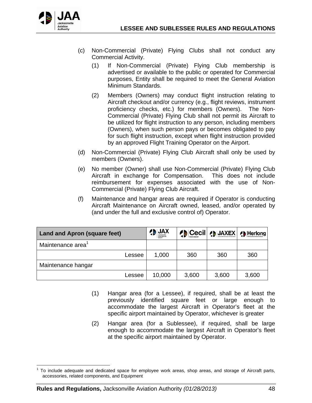

 $\overline{a}$ 

- (c) Non-Commercial (Private) Flying Clubs shall not conduct any Commercial Activity.
	- (1) If Non-Commercial (Private) Flying Club membership is advertised or available to the public or operated for Commercial purposes, Entity shall be required to meet the General Aviation Minimum Standards.
	- (2) Members (Owners) may conduct flight instruction relating to Aircraft checkout and/or currency (e.g., flight reviews, instrument proficiency checks, etc.) for members (Owners). The Non-Commercial (Private) Flying Club shall not permit its Aircraft to be utilized for flight instruction to any person, including members (Owners), when such person pays or becomes obligated to pay for such flight instruction, except when flight instruction provided by an approved Flight Training Operator on the Airport.
- (d) Non-Commercial (Private) Flying Club Aircraft shall only be used by members (Owners).
- (e) No member (Owner) shall use Non-Commercial (Private) Flying Club Aircraft in exchange for Compensation. This does not include reimbursement for expenses associated with the use of Non-Commercial (Private) Flying Club Aircraft.
- (f) Maintenance and hangar areas are required if Operator is conducting Aircraft Maintenance on Aircraft owned, leased, and/or operated by (and under the full and exclusive control of) Operator.

| Land and Apron (square feet)  | <b>AND</b><br>Jacksonvill<br>International |       | <b>SCecil &amp; JAXEX &amp; Herlong</b> |       |
|-------------------------------|--------------------------------------------|-------|-----------------------------------------|-------|
| Maintenance area <sup>1</sup> |                                            |       |                                         |       |
| Lessee                        | 1,000                                      | 360   | 360                                     | 360   |
| Maintenance hangar            |                                            |       |                                         |       |
| Lessee                        | 10,000                                     | 3,600 | 3,600                                   | 3,600 |

- (1) Hangar area (for a Lessee), if required, shall be at least the previously identified square feet or large enough to accommodate the largest Aircraft in Operator's fleet at the specific airport maintained by Operator, whichever is greater
- (2) Hangar area (for a Sublessee), if required, shall be large enough to accommodate the largest Aircraft in Operator's fleet at the specific airport maintained by Operator.

 $1$  To include adequate and dedicated space for employee work areas, shop areas, and storage of Aircraft parts, accessories, related components, and Equipment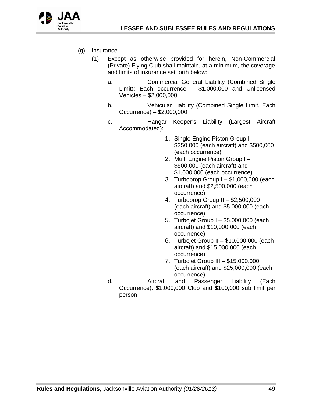

- (g) Insurance
	- (1) Except as otherwise provided for herein, Non-Commercial (Private) Flying Club shall maintain, at a minimum, the coverage and limits of insurance set forth below:
		- a. Commercial General Liability (Combined Single Limit): Each occurrence – \$1,000,000 and Unlicensed Vehicles – \$2,000,000
		- b. Vehicular Liability (Combined Single Limit, Each Occurrence) – \$2,000,000
		- c. Hangar Keeper's Liability (Largest Aircraft Accommodated):
			- 1. Single Engine Piston Group I \$250,000 (each aircraft) and \$500,000 (each occurrence)
			- 2. Multi Engine Piston Group I \$500,000 (each aircraft) and \$1,000,000 (each occurrence)
			- 3. Turboprop Group I \$1,000,000 (each aircraft) and \$2,500,000 (each occurrence)
			- 4. Turboprop Group II \$2,500,000 (each aircraft) and \$5,000,000 (each occurrence)
			- 5. Turbojet Group I \$5,000,000 (each aircraft) and \$10,000,000 (each occurrence)
			- 6. Turbojet Group II \$10,000,000 (each aircraft) and \$15,000,000 (each occurrence)
			- 7. Turbojet Group III \$15,000,000 (each aircraft) and \$25,000,000 (each occurrence)
		- d. Aircraft and Passenger Liability (Each Occurrence): \$1,000,000 Club and \$100,000 sub limit per person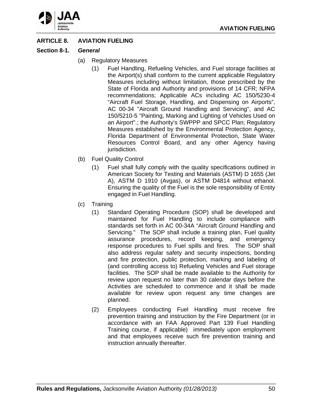

# **ARTICLE 8. AVIATION FUELING**

# **Section 8-1.** *General*

- (a) Regulatory Measures
	- (1) Fuel Handling, Refueling Vehicles, and Fuel storage facilities at the Airport(s) shall conform to the current applicable Regulatory Measures including without limitation, those prescribed by the State of Florida and Authority and provisions of 14 CFR; NFPA recommendations; Applicable ACs including AC 150/5230-4 "Aircraft Fuel Storage, Handling, and Dispensing on Airports", AC 00-34 "Aircraft Ground Handling and Servicing", and AC 150/5210-5 "Painting, Marking and Lighting of Vehicles Used on an Airport".; the Authority's SWPPP and SPCC Plan; Regulatory Measures established by the Environmental Protection Agency, Florida Department of Environmental Protection, State Water Resources Control Board, and any other Agency having jurisdiction.
- (b) Fuel Quality Control
	- (1) Fuel shall fully comply with the quality specifications outlined in American Society for Testing and Materials (ASTM) D 1655 (Jet A), ASTM D 1910 (Avgas), or ASTM D4814 without ethanol. Ensuring the quality of the Fuel is the sole responsibility of Entity engaged in Fuel Handling.
- (c) Training
	- (1) Standard Operating Procedure (SOP) shall be developed and maintained for Fuel Handling to include compliance with standards set forth in AC 00-34A "Aircraft Ground Handling and Servicing." The SOP shall include a training plan, Fuel quality assurance procedures, record keeping, and emergency response procedures to Fuel spills and fires. The SOP shall also address regular safety and security inspections, bonding and fire protection, public protection, marking and labeling of (and controlling access to) Refueling Vehicles and Fuel storage facilities. The SOP shall be made available to the Authority for review upon request no later than 30 calendar days before the Activities are scheduled to commence and it shall be made available for review upon request any time changes are planned.
	- (2) Employees conducting Fuel Handling must receive fire prevention training and instruction by the Fire Department (or in accordance with an FAA Approved Part 139 Fuel Handling Training course, if applicable) immediately upon employment and that employees receive such fire prevention training and instruction annually thereafter.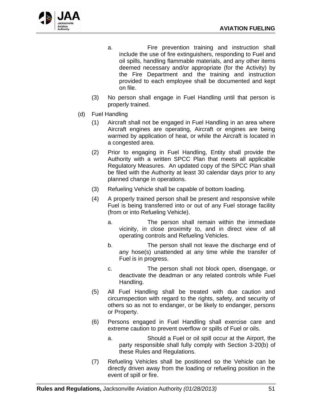

- a. Fire prevention training and instruction shall include the use of fire extinguishers, responding to Fuel and oil spills, handling flammable materials, and any other items deemed necessary and/or appropriate (for the Activity) by the Fire Department and the training and instruction provided to each employee shall be documented and kept on file.
- (3) No person shall engage in Fuel Handling until that person is properly trained.
- (d) Fuel Handling
	- (1) Aircraft shall not be engaged in Fuel Handling in an area where Aircraft engines are operating, Aircraft or engines are being warmed by application of heat, or while the Aircraft is located in a congested area.
	- (2) Prior to engaging in Fuel Handling, Entity shall provide the Authority with a written SPCC Plan that meets all applicable Regulatory Measures. An updated copy of the SPCC Plan shall be filed with the Authority at least 30 calendar days prior to any planned change in operations.
	- (3) Refueling Vehicle shall be capable of bottom loading.
	- (4) A properly trained person shall be present and responsive while Fuel is being transferred into or out of any Fuel storage facility (from or into Refueling Vehicle).
		- a. The person shall remain within the immediate vicinity, in close proximity to, and in direct view of all operating controls and Refueling Vehicles.
		- b. The person shall not leave the discharge end of any hose(s) unattended at any time while the transfer of Fuel is in progress.
		- c. The person shall not block open, disengage, or deactivate the deadman or any related controls while Fuel Handling.
	- (5) All Fuel Handling shall be treated with due caution and circumspection with regard to the rights, safety, and security of others so as not to endanger, or be likely to endanger, persons or Property.
	- (6) Persons engaged in Fuel Handling shall exercise care and extreme caution to prevent overflow or spills of Fuel or oils.
		- a. Should a Fuel or oil spill occur at the Airport, the party responsible shall fully comply with Section 3-20(b) of these Rules and Regulations.
	- (7) Refueling Vehicles shall be positioned so the Vehicle can be directly driven away from the loading or refueling position in the event of spill or fire.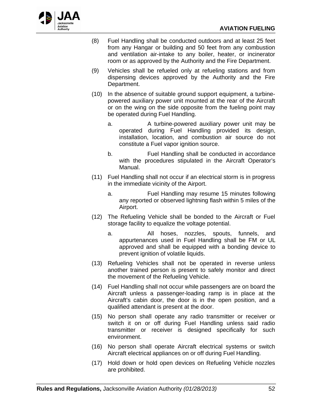

- (8) Fuel Handling shall be conducted outdoors and at least 25 feet from any Hangar or building and 50 feet from any combustion and ventilation air-intake to any boiler, heater, or incinerator room or as approved by the Authority and the Fire Department.
- (9) Vehicles shall be refueled only at refueling stations and from dispensing devices approved by the Authority and the Fire Department.
- (10) In the absence of suitable ground support equipment, a turbinepowered auxiliary power unit mounted at the rear of the Aircraft or on the wing on the side opposite from the fueling point may be operated during Fuel Handling.
	- a. A turbine-powered auxiliary power unit may be operated during Fuel Handling provided its design, installation, location, and combustion air source do not constitute a Fuel vapor ignition source.
	- b. Fuel Handling shall be conducted in accordance with the procedures stipulated in the Aircraft Operator's Manual.
- (11) Fuel Handling shall not occur if an electrical storm is in progress in the immediate vicinity of the Airport.
	- a. Fuel Handling may resume 15 minutes following any reported or observed lightning flash within 5 miles of the Airport.
- (12) The Refueling Vehicle shall be bonded to the Aircraft or Fuel storage facility to equalize the voltage potential.
	- a. All hoses, nozzles, spouts, funnels, and appurtenances used in Fuel Handling shall be FM or UL approved and shall be equipped with a bonding device to prevent ignition of volatile liquids.
- (13) Refueling Vehicles shall not be operated in reverse unless another trained person is present to safely monitor and direct the movement of the Refueling Vehicle.
- (14) Fuel Handling shall not occur while passengers are on board the Aircraft unless a passenger-loading ramp is in place at the Aircraft's cabin door, the door is in the open position, and a qualified attendant is present at the door.
- (15) No person shall operate any radio transmitter or receiver or switch it on or off during Fuel Handling unless said radio transmitter or receiver is designed specifically for such environment.
- (16) No person shall operate Aircraft electrical systems or switch Aircraft electrical appliances on or off during Fuel Handling.
- (17) Hold down or hold open devices on Refueling Vehicle nozzles are prohibited.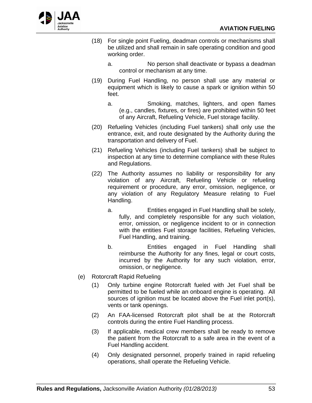

- (18) For single point Fueling, deadman controls or mechanisms shall be utilized and shall remain in safe operating condition and good working order.
	- a. No person shall deactivate or bypass a deadman control or mechanism at any time.
- (19) During Fuel Handling, no person shall use any material or equipment which is likely to cause a spark or ignition within 50 feet.
	- a. Smoking, matches, lighters, and open flames (e.g., candles, fixtures, or fires) are prohibited within 50 feet of any Aircraft, Refueling Vehicle, Fuel storage facility.
- (20) Refueling Vehicles (including Fuel tankers) shall only use the entrance, exit, and route designated by the Authority during the transportation and delivery of Fuel.
- (21) Refueling Vehicles (including Fuel tankers) shall be subject to inspection at any time to determine compliance with these Rules and Regulations.
- (22) The Authority assumes no liability or responsibility for any violation of any Aircraft, Refueling Vehicle or refueling requirement or procedure, any error, omission, negligence, or any violation of any Regulatory Measure relating to Fuel Handling.
	- a. Entities engaged in Fuel Handling shall be solely, fully, and completely responsible for any such violation, error, omission, or negligence incident to or in connection with the entities Fuel storage facilities, Refueling Vehicles, Fuel Handling, and training.
	- b. Entities engaged in Fuel Handling shall reimburse the Authority for any fines, legal or court costs, incurred by the Authority for any such violation, error, omission, or negligence.
- (e) Rotorcraft Rapid Refueling
	- (1) Only turbine engine Rotorcraft fueled with Jet Fuel shall be permitted to be fueled while an onboard engine is operating. All sources of ignition must be located above the Fuel inlet port(s), vents or tank openings.
	- (2) An FAA-licensed Rotorcraft pilot shall be at the Rotorcraft controls during the entire Fuel Handling process.
	- (3) If applicable, medical crew members shall be ready to remove the patient from the Rotorcraft to a safe area in the event of a Fuel Handling accident.
	- (4) Only designated personnel, properly trained in rapid refueling operations, shall operate the Refueling Vehicle.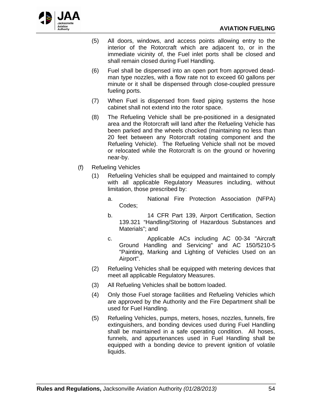

- (5) All doors, windows, and access points allowing entry to the interior of the Rotorcraft which are adjacent to, or in the immediate vicinity of, the Fuel inlet ports shall be closed and shall remain closed during Fuel Handling.
- (6) Fuel shall be dispensed into an open port from approved deadman type nozzles, with a flow rate not to exceed 60 gallons per minute or it shall be dispensed through close-coupled pressure fueling ports.
- (7) When Fuel is dispensed from fixed piping systems the hose cabinet shall not extend into the rotor space.
- (8) The Refueling Vehicle shall be pre-positioned in a designated area and the Rotorcraft will land after the Refueling Vehicle has been parked and the wheels chocked (maintaining no less than 20 feet between any Rotorcraft rotating component and the Refueling Vehicle). The Refueling Vehicle shall not be moved or relocated while the Rotorcraft is on the ground or hovering near-by.
- (f) Refueling Vehicles
	- (1) Refueling Vehicles shall be equipped and maintained to comply with all applicable Regulatory Measures including, without limitation, those prescribed by:
		- a. National Fire Protection Association (NFPA) Codes;
		- b. 14 CFR Part 139, Airport Certification, Section 139.321 "Handling/Storing of Hazardous Substances and Materials"; and
		- c. Applicable ACs including AC 00-34 "Aircraft Ground Handling and Servicing" and AC 150/5210-5 "Painting, Marking and Lighting of Vehicles Used on an Airport".
	- (2) Refueling Vehicles shall be equipped with metering devices that meet all applicable Regulatory Measures.
	- (3) All Refueling Vehicles shall be bottom loaded.
	- (4) Only those Fuel storage facilities and Refueling Vehicles which are approved by the Authority and the Fire Department shall be used for Fuel Handling.
	- (5) Refueling Vehicles, pumps, meters, hoses, nozzles, funnels, fire extinguishers, and bonding devices used during Fuel Handling shall be maintained in a safe operating condition. All hoses, funnels, and appurtenances used in Fuel Handling shall be equipped with a bonding device to prevent ignition of volatile liquids.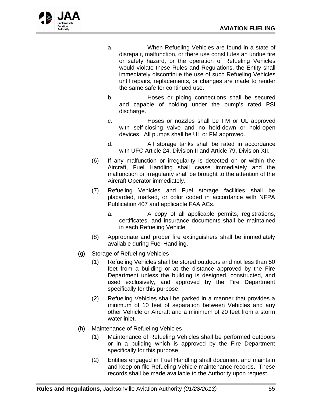

- a. When Refueling Vehicles are found in a state of disrepair, malfunction, or there use constitutes an undue fire or safety hazard, or the operation of Refueling Vehicles would violate these Rules and Regulations, the Entity shall immediately discontinue the use of such Refueling Vehicles until repairs, replacements, or changes are made to render the same safe for continued use.
- b. Hoses or piping connections shall be secured and capable of holding under the pump's rated PSI discharge.
- c. Hoses or nozzles shall be FM or UL approved with self-closing valve and no hold-down or hold-open devices. All pumps shall be UL or FM approved.
- d. All storage tanks shall be rated in accordance with UFC Article 24, Division II and Article 79, Division XII.
- (6) If any malfunction or irregularity is detected on or within the Aircraft, Fuel Handling shall cease immediately and the malfunction or irregularity shall be brought to the attention of the Aircraft Operator immediately.
- (7) Refueling Vehicles and Fuel storage facilities shall be placarded, marked, or color coded in accordance with NFPA Publication 407 and applicable FAA ACs.
	- a. A copy of all applicable permits, registrations, certificates, and insurance documents shall be maintained in each Refueling Vehicle.
- (8) Appropriate and proper fire extinguishers shall be immediately available during Fuel Handling.
- (g) Storage of Refueling Vehicles
	- (1) Refueling Vehicles shall be stored outdoors and not less than 50 feet from a building or at the distance approved by the Fire Department unless the building is designed, constructed, and used exclusively, and approved by the Fire Department specifically for this purpose.
	- (2) Refueling Vehicles shall be parked in a manner that provides a minimum of 10 feet of separation between Vehicles and any other Vehicle or Aircraft and a minimum of 20 feet from a storm water inlet.
- (h) Maintenance of Refueling Vehicles
	- (1) Maintenance of Refueling Vehicles shall be performed outdoors or in a building which is approved by the Fire Department specifically for this purpose.
	- (2) Entities engaged in Fuel Handling shall document and maintain and keep on file Refueling Vehicle maintenance records. These records shall be made available to the Authority upon request.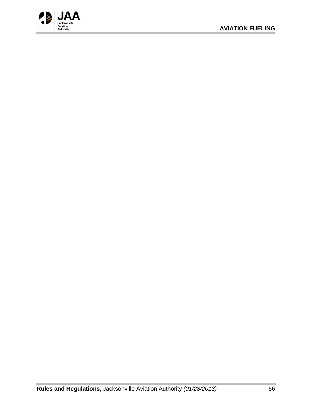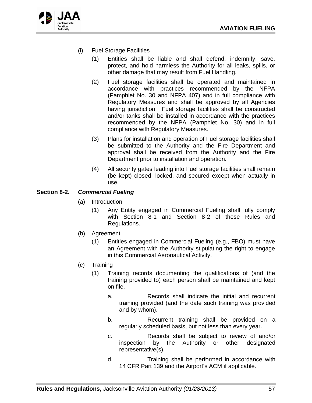

- (i) Fuel Storage Facilities
	- (1) Entities shall be liable and shall defend, indemnify, save, protect, and hold harmless the Authority for all leaks, spills, or other damage that may result from Fuel Handling.
	- (2) Fuel storage facilities shall be operated and maintained in accordance with practices recommended by the NFPA (Pamphlet No. 30 and NFPA 407) and in full compliance with Regulatory Measures and shall be approved by all Agencies having jurisdiction. Fuel storage facilities shall be constructed and/or tanks shall be installed in accordance with the practices recommended by the NFPA (Pamphlet No. 30) and in full compliance with Regulatory Measures.
	- (3) Plans for installation and operation of Fuel storage facilities shall be submitted to the Authority and the Fire Department and approval shall be received from the Authority and the Fire Department prior to installation and operation.
	- (4) All security gates leading into Fuel storage facilities shall remain (be kept) closed, locked, and secured except when actually in use.

# **Section 8-2.** *Commercial Fueling*

- (a) Introduction
	- (1) Any Entity engaged in Commercial Fueling shall fully comply with Section 8-1 and Section 8-2 of these Rules and Regulations.
- (b) Agreement
	- (1) Entities engaged in Commercial Fueling (e.g., FBO) must have an Agreement with the Authority stipulating the right to engage in this Commercial Aeronautical Activity.
- (c) Training
	- (1) Training records documenting the qualifications of (and the training provided to) each person shall be maintained and kept on file.
		- a. Records shall indicate the initial and recurrent training provided (and the date such training was provided and by whom).
		- b. Recurrent training shall be provided on a regularly scheduled basis, but not less than every year.
		- c. Records shall be subject to review of and/or inspection by the Authority or other designated representative(s).
		- d. Training shall be performed in accordance with 14 CFR Part 139 and the Airport's ACM if applicable.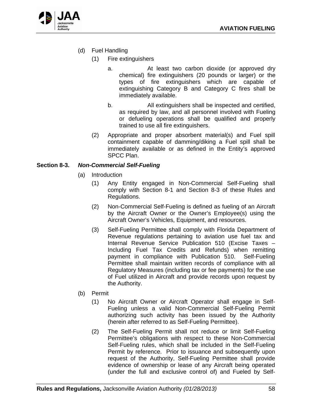

- (d) Fuel Handling
	- (1) Fire extinguishers
		- a. At least two carbon dioxide (or approved dry chemical) fire extinguishers (20 pounds or larger) or the types of fire extinguishers which are capable of extinguishing Category B and Category C fires shall be immediately available.
		- b. All extinguishers shall be inspected and certified, as required by law, and all personnel involved with Fueling or defueling operations shall be qualified and properly trained to use all fire extinguishers.
	- (2) Appropriate and proper absorbent material(s) and Fuel spill containment capable of damming/diking a Fuel spill shall be immediately available or as defined in the Entity's approved SPCC Plan.

# **Section 8-3.** *Non-Commercial Self-Fueling*

- (a) Introduction
	- (1) Any Entity engaged in Non-Commercial Self-Fueling shall comply with Section 8-1 and Section 8-3 of these Rules and Regulations.
	- (2) Non-Commercial Self-Fueling is defined as fueling of an Aircraft by the Aircraft Owner or the Owner's Employee(s) using the Aircraft Owner's Vehicles, Equipment, and resources.
	- (3) Self-Fueling Permittee shall comply with Florida Department of Revenue regulations pertaining to aviation use fuel tax and Internal Revenue Service Publication 510 (Excise Taxes – Including Fuel Tax Credits and Refunds) when remitting payment in compliance with Publication 510. Self-Fueling Permittee shall maintain written records of compliance with all Regulatory Measures (including tax or fee payments) for the use of Fuel utilized in Aircraft and provide records upon request by the Authority.
- (b) Permit
	- (1) No Aircraft Owner or Aircraft Operator shall engage in Self-Fueling unless a valid Non-Commercial Self-Fueling Permit authorizing such activity has been issued by the Authority (herein after referred to as Self-Fueling Permittee).
	- (2) The Self-Fueling Permit shall not reduce or limit Self-Fueling Permittee's obligations with respect to these Non-Commercial Self-Fueling rules, which shall be included in the Self-Fueling Permit by reference. Prior to issuance and subsequently upon request of the Authority, Self-Fueling Permittee shall provide evidence of ownership or lease of any Aircraft being operated (under the full and exclusive control of) and Fueled by Self-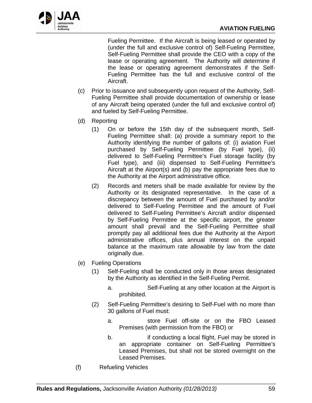

Fueling Permittee. If the Aircraft is being leased or operated by (under the full and exclusive control of) Self-Fueling Permittee, Self-Fueling Permittee shall provide the CEO with a copy of the lease or operating agreement. The Authority will determine if the lease or operating agreement demonstrates if the Self-Fueling Permittee has the full and exclusive control of the Aircraft.

- (c) Prior to issuance and subsequently upon request of the Authority, Self-Fueling Permittee shall provide documentation of ownership or lease of any Aircraft being operated (under the full and exclusive control of) and fueled by Self-Fueling Permittee.
- (d) Reporting
	- (1) On or before the 15th day of the subsequent month, Self-Fueling Permittee shall: (a) provide a summary report to the Authority identifying the number of gallons of: (i) aviation Fuel purchased by Self-Fueling Permittee (by Fuel type), (ii) delivered to Self-Fueling Permittee's Fuel storage facility (by Fuel type), and (iii) dispensed to Self-Fueling Permittee's Aircraft at the Airport(s) and (b) pay the appropriate fees due to the Authority at the Airport administrative office.
	- (2) Records and meters shall be made available for review by the Authority or its designated representative. In the case of a discrepancy between the amount of Fuel purchased by and/or delivered to Self-Fueling Permittee and the amount of Fuel delivered to Self-Fueling Permittee's Aircraft and/or dispensed by Self-Fueling Permittee at the specific airport, the greater amount shall prevail and the Self-Fueling Permittee shall promptly pay all additional fees due the Authority at the Airport administrative offices, plus annual interest on the unpaid balance at the maximum rate allowable by law from the date originally due.
- (e) Fueling Operations
	- (1) Self-Fueling shall be conducted only in those areas designated by the Authority as identified in the Self-Fueling Permit.
		- a. Self-Fueling at any other location at the Airport is prohibited.
	- (2) Self-Fueling Permittee's desiring to Self-Fuel with no more than 30 gallons of Fuel must:
		- a. store Fuel off-site or on the FBO Leased Premises (with permission from the FBO) or
		- b. if conducting a local flight, Fuel may be stored in an appropriate container on Self-Fueling Permittee's Leased Premises, but shall not be stored overnight on the Leased Premises.
- (f) Refueling Vehicles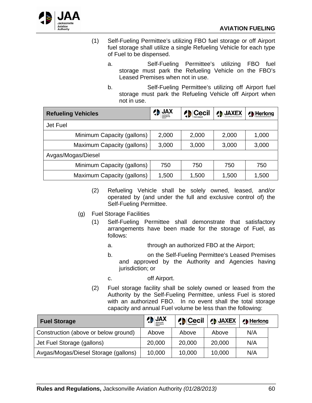

- (1) Self-Fueling Permittee's utilizing FBO fuel storage or off Airport fuel storage shall utilize a single Refueling Vehicle for each type of Fuel to be dispensed.
	- a. Self-Fueling Permittee's utilizing FBO fuel storage must park the Refueling Vehicle on the FBO's Leased Premises when not in use.
	- b. Self-Fueling Permittee's utilizing off Airport fuel storage must park the Refueling Vehicle off Airport when not in use.

| <b>Refueling Vehicles</b>  | <b>AAL</b> | <b>S</b> Cecil | <b>JAXEX</b> | Herlong |
|----------------------------|------------|----------------|--------------|---------|
| Jet Fuel                   |            |                |              |         |
| Minimum Capacity (gallons) | 2,000      | 2,000          | 2,000        | 1,000   |
| Maximum Capacity (gallons) | 3,000      | 3,000          | 3,000        | 3,000   |
| Avgas/Mogas/Diesel         |            |                |              |         |
| Minimum Capacity (gallons) | 750        | 750            | 750          | 750     |
| Maximum Capacity (gallons) | 1,500      | 1,500          | 1,500        | 1,500   |

- (2) Refueling Vehicle shall be solely owned, leased, and/or operated by (and under the full and exclusive control of) the Self-Fueling Permittee.
- (g) Fuel Storage Facilities
	- (1) Self-Fueling Permittee shall demonstrate that satisfactory arrangements have been made for the storage of Fuel, as follows:
		- a. through an authorized FBO at the Airport;
		- b. on the Self-Fueling Permittee's Leased Premises and approved by the Authority and Agencies having jurisdiction; or
		- c. off Airport.
	- (2) Fuel storage facility shall be solely owned or leased from the Authority by the Self-Fueling Permittee, unless Fuel is stored with an authorized FBO. In no event shall the total storage capacity and annual Fuel volume be less than the following:

| <b>Fuel Storage</b>                  | <b>AND SEA</b><br>Jacksonville<br>International<br>Airport | <b>Cecil</b> | <b>JAXEX</b> | Herlong |  |
|--------------------------------------|------------------------------------------------------------|--------------|--------------|---------|--|
| Construction (above or below ground) | Above                                                      | Above        | Above        | N/A     |  |
| Jet Fuel Storage (gallons)           | 20,000                                                     | 20,000       | 20,000       | N/A     |  |
| Avgas/Mogas/Diesel Storage (gallons) | 10,000                                                     | 10,000       | 10,000       | N/A     |  |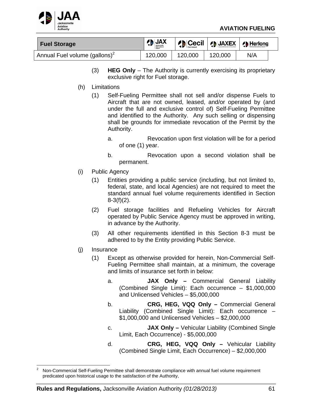

# **AVIATION FUELING**

| <b>Fuel Storage</b>                       | <b>AND SEARCH</b> |         | Secil <a> Secil <a> Secil <a> Secil <a> Secil <a> Secil <a> Secil <a> Secil <a> Secil <a> Secil <a> Secil <a> Secil <a> Secil <a> Secil <a> Secil <a<br></a<br> Secil <a> Secil <a> Secil <a> Secil <a<br></a<br> Secil <a> Secil <a> Seci</a></a></a></a></a></a></a></a></a></a></a></a></a></a></a></a></a></a></a> |     |  |
|-------------------------------------------|-------------------|---------|------------------------------------------------------------------------------------------------------------------------------------------------------------------------------------------------------------------------------------------------------------------------------------------------------------------------|-----|--|
| Annual Fuel volume (gallons) <sup>2</sup> | 120,000           | 120,000 | 120,000                                                                                                                                                                                                                                                                                                                | N/A |  |

- (3) **HEG Only** The Authority is currently exercising its proprietary exclusive right for Fuel storage.
- (h) Limitations
	- (1) Self-Fueling Permittee shall not sell and/or dispense Fuels to Aircraft that are not owned, leased, and/or operated by (and under the full and exclusive control of) Self-Fueling Permittee and identified to the Authority. Any such selling or dispensing shall be grounds for immediate revocation of the Permit by the Authority.
		- a. Revocation upon first violation will be for a period of one (1) year.
		- b. Revocation upon a second violation shall be permanent.
- (i) Public Agency
	- (1) Entities providing a public service (including, but not limited to, federal, state, and local Agencies) are not required to meet the standard annual fuel volume requirements identified in Section  $8-3(f)(2)$ .
	- (2) Fuel storage facilities and Refueling Vehicles for Aircraft operated by Public Service Agency must be approved in writing, in advance by the Authority.
	- (3) All other requirements identified in this Section 8-3 must be adhered to by the Entity providing Public Service.
- (j) Insurance
	- (1) Except as otherwise provided for herein, Non-Commercial Self-Fueling Permittee shall maintain, at a minimum, the coverage and limits of insurance set forth in below:
		- a. **JAX Only** Commercial General Liability (Combined Single Limit): Each occurrence – \$1,000,000 and Unlicensed Vehicles – \$5,000,000
		- b. **CRG, HEG, VQQ Only –** Commercial General Liability (Combined Single Limit): Each occurrence – \$1,000,000 and Unlicensed Vehicles – \$2,000,000
		- c. **JAX Only** Vehicular Liability (Combined Single Limit, Each Occurrence) - \$5,000,000
		- d. **CRG, HEG, VQQ Only –** Vehicular Liability (Combined Single Limit, Each Occurrence) – \$2,000,000

 $\frac{1}{2}$  Non-Commercial Self-Fueling Permittee shall demonstrate compliance with annual fuel volume requirement predicated upon historical usage to the satisfaction of the Authority,